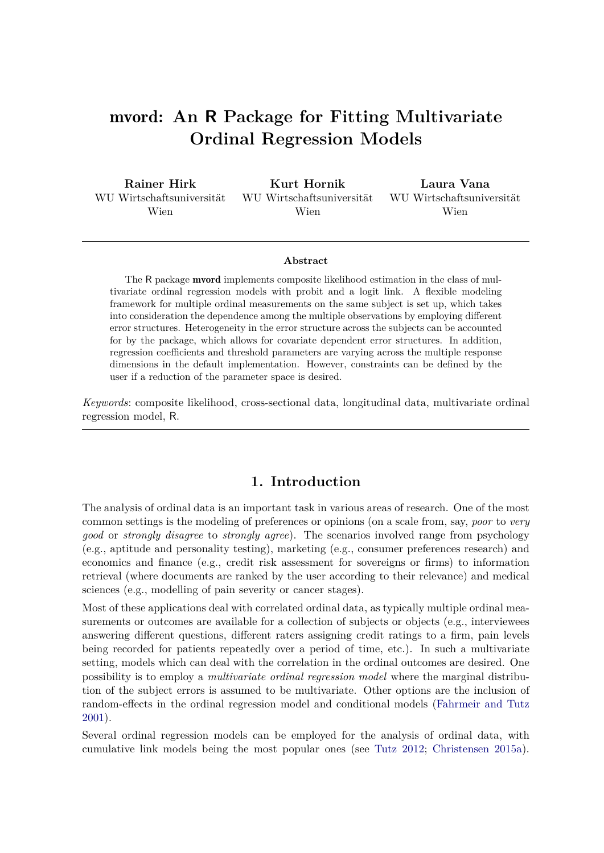# mvord**: An R Package for Fitting Multivariate Ordinal Regression Models**

| Rainer Hirk               | Kurt Hornik                 | Laura Vana                  |
|---------------------------|-----------------------------|-----------------------------|
| WU Wirtschaftsuniversität | – WU Wirtschaftsuniversität | – WU Wirtschaftsuniversität |
| Wien                      | Wien                        | Wien                        |

#### **Abstract**

The R package mvord implements composite likelihood estimation in the class of multivariate ordinal regression models with probit and a logit link. A flexible modeling framework for multiple ordinal measurements on the same subject is set up, which takes into consideration the dependence among the multiple observations by employing different error structures. Heterogeneity in the error structure across the subjects can be accounted for by the package, which allows for covariate dependent error structures. In addition, regression coefficients and threshold parameters are varying across the multiple response dimensions in the default implementation. However, constraints can be defined by the user if a reduction of the parameter space is desired.

*Keywords*: composite likelihood, cross-sectional data, longitudinal data, multivariate ordinal regression model, R.

# **1. Introduction**

The analysis of ordinal data is an important task in various areas of research. One of the most common settings is the modeling of preferences or opinions (on a scale from, say, *poor* to *very good* or *strongly disagree* to *strongly agree*). The scenarios involved range from psychology (e.g., aptitude and personality testing), marketing (e.g., consumer preferences research) and economics and finance (e.g., credit risk assessment for sovereigns or firms) to information retrieval (where documents are ranked by the user according to their relevance) and medical sciences (e.g., modelling of pain severity or cancer stages).

Most of these applications deal with correlated ordinal data, as typically multiple ordinal measurements or outcomes are available for a collection of subjects or objects (e.g., interviewees answering different questions, different raters assigning credit ratings to a firm, pain levels being recorded for patients repeatedly over a period of time, etc.). In such a multivariate setting, models which can deal with the correlation in the ordinal outcomes are desired. One possibility is to employ a *multivariate ordinal regression model* where the marginal distribution of the subject errors is assumed to be multivariate. Other options are the inclusion of random-effects in the ordinal regression model and conditional models [\(Fahrmeir and Tutz](#page-39-0) [2001\)](#page-39-0).

Several ordinal regression models can be employed for the analysis of ordinal data, with cumulative link models being the most popular ones (see [Tutz 2012;](#page-41-0) [Christensen 2015a\)](#page-39-1).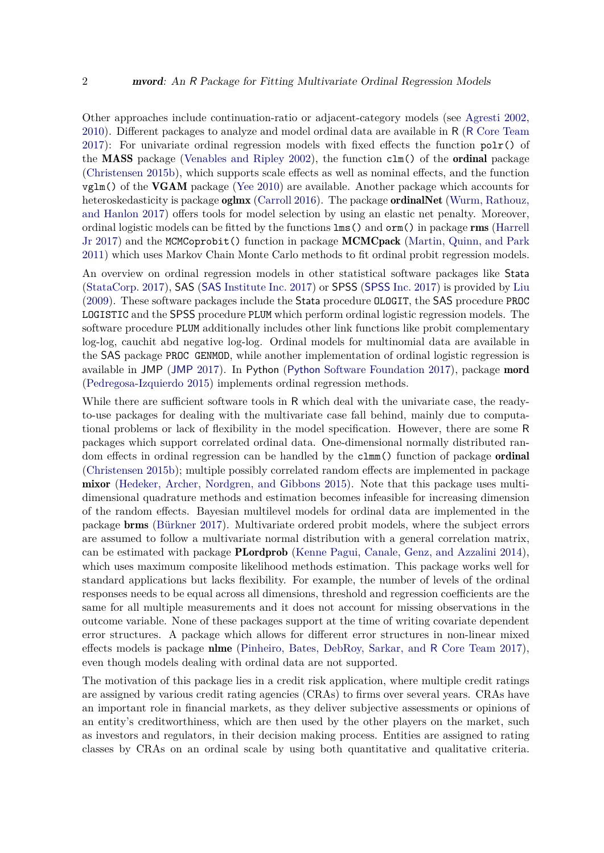Other approaches include continuation-ratio or adjacent-category models (see [Agresti 2002,](#page-38-0) [2010\)](#page-38-1). Different packages to analyze and model ordinal data are available in R (R [Core Team](#page-40-0) [2017\)](#page-40-0): For univariate ordinal regression models with fixed effects the function  $polr()$  of the MASS package [\(Venables and Ripley 2002\)](#page-41-1), the function clm() of the ordinal package [\(Christensen 2015b\)](#page-39-2), which supports scale effects as well as nominal effects, and the function  $vglm()$  of the VGAM package [\(Yee 2010\)](#page-41-2) are available. Another package which accounts for heteroskedasticity is package **oglmx** [\(Carroll 2016\)](#page-39-3). The package **ordinalNet** [\(Wurm, Rathouz,](#page-41-3) [and Hanlon 2017\)](#page-41-3) offers tools for model selection by using an elastic net penalty. Moreover, ordinal logistic models can be fitted by the functions lms() and orm() in package rms [\(Harrell](#page-39-4) [Jr 2017\)](#page-39-4) and the MCMCoprobit() function in package **MCMCpack** [\(Martin, Quinn, and Park](#page-40-1) [2011\)](#page-40-1) which uses Markov Chain Monte Carlo methods to fit ordinal probit regression models.

An overview on ordinal regression models in other statistical software packages like Stata [\(StataCorp. 2017\)](#page-41-4), SAS (SAS [Institute Inc. 2017\)](#page-40-2) or SPSS ([SPSS](#page-41-5) Inc. [2017\)](#page-41-5) is provided by [Liu](#page-40-3) [\(2009\)](#page-40-3). These software packages include the Stata procedure OLOGIT, the SAS procedure PROC LOGISTIC and the SPSS procedure PLUM which perform ordinal logistic regression models. The software procedure PLUM additionally includes other link functions like probit complementary log-log, cauchit abd negative log-log. Ordinal models for multinomial data are available in the SAS package PROC GENMOD, while another implementation of ordinal logistic regression is available in JMP ([JMP](#page-40-4) [2017\)](#page-40-4). In Python (Python [Software Foundation 2017\)](#page-40-5), package mord [\(Pedregosa-Izquierdo 2015\)](#page-40-6) implements ordinal regression methods.

While there are sufficient software tools in R which deal with the univariate case, the readyto-use packages for dealing with the multivariate case fall behind, mainly due to computational problems or lack of flexibility in the model specification. However, there are some R packages which support correlated ordinal data. One-dimensional normally distributed random effects in ordinal regression can be handled by the clmm() function of package **ordinal** [\(Christensen 2015b\)](#page-39-2); multiple possibly correlated random effects are implemented in package mixor [\(Hedeker, Archer, Nordgren, and Gibbons 2015\)](#page-39-5). Note that this package uses multidimensional quadrature methods and estimation becomes infeasible for increasing dimension of the random effects. Bayesian multilevel models for ordinal data are implemented in the package brms [\(Bürkner 2017\)](#page-38-2). Multivariate ordered probit models, where the subject errors are assumed to follow a multivariate normal distribution with a general correlation matrix, can be estimated with package PLordprob [\(Kenne Pagui, Canale, Genz, and Azzalini 2014\)](#page-39-6), which uses maximum composite likelihood methods estimation. This package works well for standard applications but lacks flexibility. For example, the number of levels of the ordinal responses needs to be equal across all dimensions, threshold and regression coefficients are the same for all multiple measurements and it does not account for missing observations in the outcome variable. None of these packages support at the time of writing covariate dependent error structures. A package which allows for different error structures in non-linear mixed effects models is package nlme [\(Pinheiro, Bates, DebRoy, Sarkar, and](#page-40-7) R Core Team [2017\)](#page-40-7), even though models dealing with ordinal data are not supported.

The motivation of this package lies in a credit risk application, where multiple credit ratings are assigned by various credit rating agencies (CRAs) to firms over several years. CRAs have an important role in financial markets, as they deliver subjective assessments or opinions of an entity's creditworthiness, which are then used by the other players on the market, such as investors and regulators, in their decision making process. Entities are assigned to rating classes by CRAs on an ordinal scale by using both quantitative and qualitative criteria.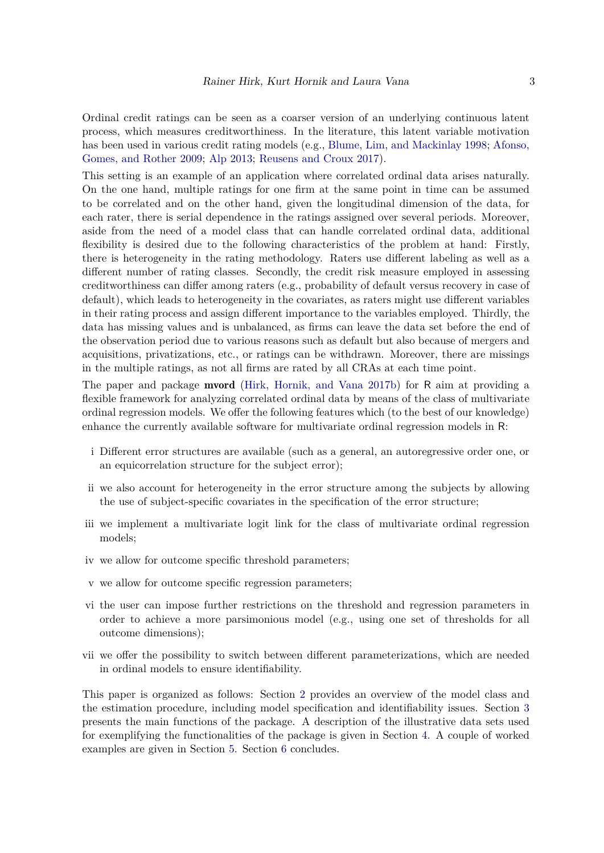Ordinal credit ratings can be seen as a coarser version of an underlying continuous latent process, which measures creditworthiness. In the literature, this latent variable motivation has been used in various credit rating models (e.g., [Blume, Lim, and Mackinlay 1998;](#page-38-3) [Afonso,](#page-38-4) [Gomes, and Rother 2009;](#page-38-4) [Alp 2013;](#page-38-5) [Reusens and Croux 2017\)](#page-41-6).

This setting is an example of an application where correlated ordinal data arises naturally. On the one hand, multiple ratings for one firm at the same point in time can be assumed to be correlated and on the other hand, given the longitudinal dimension of the data, for each rater, there is serial dependence in the ratings assigned over several periods. Moreover, aside from the need of a model class that can handle correlated ordinal data, additional flexibility is desired due to the following characteristics of the problem at hand: Firstly, there is heterogeneity in the rating methodology. Raters use different labeling as well as a different number of rating classes. Secondly, the credit risk measure employed in assessing creditworthiness can differ among raters (e.g., probability of default versus recovery in case of default), which leads to heterogeneity in the covariates, as raters might use different variables in their rating process and assign different importance to the variables employed. Thirdly, the data has missing values and is unbalanced, as firms can leave the data set before the end of the observation period due to various reasons such as default but also because of mergers and acquisitions, privatizations, etc., or ratings can be withdrawn. Moreover, there are missings in the multiple ratings, as not all firms are rated by all CRAs at each time point.

The paper and package mvord [\(Hirk, Hornik, and Vana 2017b\)](#page-39-7) for R aim at providing a flexible framework for analyzing correlated ordinal data by means of the class of multivariate ordinal regression models. We offer the following features which (to the best of our knowledge) enhance the currently available software for multivariate ordinal regression models in R:

- i Different error structures are available (such as a general, an autoregressive order one, or an equicorrelation structure for the subject error);
- ii we also account for heterogeneity in the error structure among the subjects by allowing the use of subject-specific covariates in the specification of the error structure;
- iii we implement a multivariate logit link for the class of multivariate ordinal regression models;
- iv we allow for outcome specific threshold parameters;
- v we allow for outcome specific regression parameters;
- vi the user can impose further restrictions on the threshold and regression parameters in order to achieve a more parsimonious model (e.g., using one set of thresholds for all outcome dimensions);
- vii we offer the possibility to switch between different parameterizations, which are needed in ordinal models to ensure identifiability.

This paper is organized as follows: Section [2](#page-3-0) provides an overview of the model class and the estimation procedure, including model specification and identifiability issues. Section [3](#page-9-0) presents the main functions of the package. A description of the illustrative data sets used for exemplifying the functionalities of the package is given in Section [4.](#page-21-0) A couple of worked examples are given in Section [5.](#page-24-0) Section [6](#page-38-6) concludes.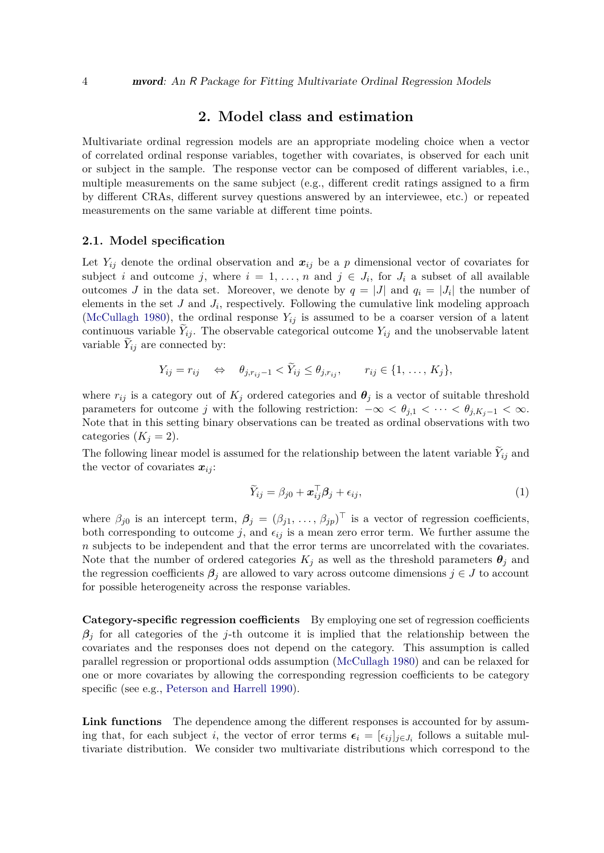# **2. Model class and estimation**

<span id="page-3-0"></span>Multivariate ordinal regression models are an appropriate modeling choice when a vector of correlated ordinal response variables, together with covariates, is observed for each unit or subject in the sample. The response vector can be composed of different variables, i.e., multiple measurements on the same subject (e.g., different credit ratings assigned to a firm by different CRAs, different survey questions answered by an interviewee, etc.) or repeated measurements on the same variable at different time points.

#### <span id="page-3-2"></span>**2.1. Model specification**

Let  $Y_{ij}$  denote the ordinal observation and  $x_{ij}$  be a p dimensional vector of covariates for subject *i* and outcome *j*, where  $i = 1, \ldots, n$  and  $j \in J_i$ , for  $J_i$  a subset of all available outcomes *J* in the data set. Moreover, we denote by  $q = |J|$  and  $q_i = |J_i|$  the number of elements in the set  $J$  and  $J_i$ , respectively. Following the cumulative link modeling approach [\(McCullagh 1980\)](#page-40-8), the ordinal response  $Y_{ij}$  is assumed to be a coarser version of a latent continuous variable  $Y_{ij}$ . The observable categorical outcome  $Y_{ij}$  and the unobservable latent variable  $Y_{ij}$  are connected by:

$$
Y_{ij} = r_{ij} \quad \Leftrightarrow \quad \theta_{j,r_{ij}-1} < Y_{ij} \leq \theta_{j,r_{ij}}, \qquad r_{ij} \in \{1, \ldots, K_j\},
$$

where  $r_{ij}$  is a category out of  $K_j$  ordered categories and  $\theta_j$  is a vector of suitable threshold parameters for outcome *j* with the following restriction:  $-\infty < \theta_{j,1} < \cdots < \theta_{j,K_j-1} < \infty$ . Note that in this setting binary observations can be treated as ordinal observations with two categories  $(K<sub>j</sub> = 2)$ .

The following linear model is assumed for the relationship between the latent variable  $Y_{ij}$  and the vector of covariates  $x_{ij}$ :

<span id="page-3-1"></span>
$$
\widetilde{Y}_{ij} = \beta_{j0} + \boldsymbol{x}_{ij}^{\top} \boldsymbol{\beta}_j + \epsilon_{ij},\tag{1}
$$

where  $\beta_{j0}$  is an intercept term,  $\beta_j = (\beta_{j1}, \ldots, \beta_{jp})^\top$  is a vector of regression coefficients, both corresponding to outcome  $j$ , and  $\epsilon_{ij}$  is a mean zero error term. We further assume the *n* subjects to be independent and that the error terms are uncorrelated with the covariates. Note that the number of ordered categories  $K_j$  as well as the threshold parameters  $\theta_j$  and the regression coefficients  $\beta_j$  are allowed to vary across outcome dimensions  $j \in J$  to account for possible heterogeneity across the response variables.

**Category-specific regression coefficients** By employing one set of regression coefficients  $\beta_j$  for all categories of the *j*-th outcome it is implied that the relationship between the covariates and the responses does not depend on the category. This assumption is called parallel regression or proportional odds assumption [\(McCullagh 1980\)](#page-40-8) and can be relaxed for one or more covariates by allowing the corresponding regression coefficients to be category specific (see e.g., [Peterson and Harrell 1990\)](#page-40-9).

**Link functions** The dependence among the different responses is accounted for by assuming that, for each subject *i*, the vector of error terms  $\epsilon_i = [\epsilon_{ij}]_{j \in J_i}$  follows a suitable multivariate distribution. We consider two multivariate distributions which correspond to the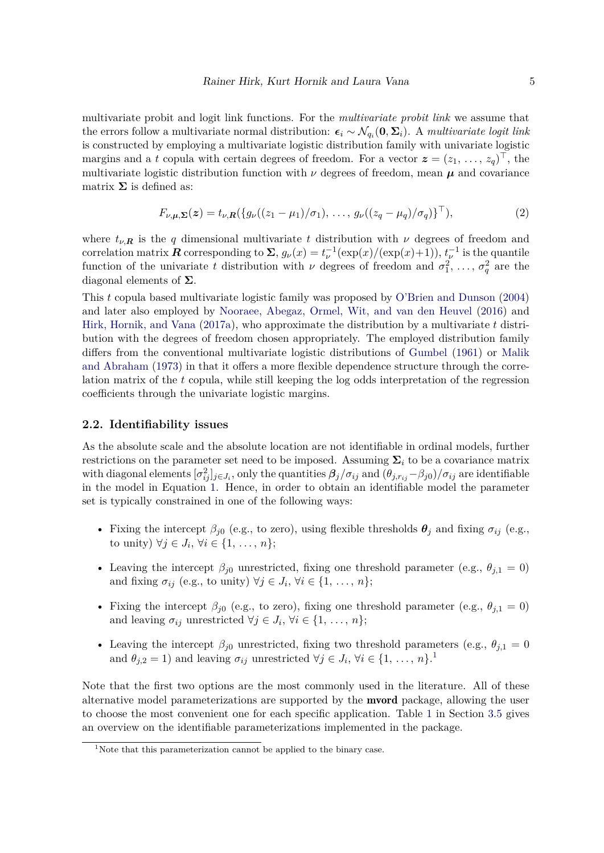multivariate probit and logit link functions. For the *multivariate probit link* we assume that the errors follow a multivariate normal distribution:  $\epsilon_i \sim \mathcal{N}_{q_i}(\mathbf{0}, \mathbf{\Sigma}_i)$ . A *multivariate logit link* is constructed by employing a multivariate logistic distribution family with univariate logistic margins and a *t* copula with certain degrees of freedom. For a vector  $\boldsymbol{z} = (z_1, \ldots, z_q)^\top$ , the multivariate logistic distribution function with  $\nu$  degrees of freedom, mean  $\mu$  and covariance matrix  $\Sigma$  is defined as:

<span id="page-4-2"></span>
$$
F_{\nu,\mu,\Sigma}(z) = t_{\nu,R}(\{g_{\nu}((z_1 - \mu_1)/\sigma_1), \ldots, g_{\nu}((z_q - \mu_q)/\sigma_q)\}^{\top}),
$$
\n(2)

where  $t_{\nu,R}$  is the *q* dimensional multivariate *t* distribution with  $\nu$  degrees of freedom and correlation matrix  $\mathbf{R}$  corresponding to  $\Sigma$ ,  $g_{\nu}(x) = t_{\nu}^{-1}(\exp(x)/(\exp(x)+1)), t_{\nu}^{-1}$  is the quantile function of the univariate *t* distribution with *ν* degrees of freedom and  $\sigma_1^2, \ldots, \sigma_q^2$  are the diagonal elements of **Σ**.

This *t* copula based multivariate logistic family was proposed by [O'Brien and Dunson](#page-40-10) [\(2004\)](#page-40-10) and later also employed by [Nooraee, Abegaz, Ormel, Wit, and van den Heuvel](#page-40-11) [\(2016\)](#page-40-11) and [Hirk, Hornik, and Vana](#page-39-8) [\(2017a\)](#page-39-8), who approximate the distribution by a multivariate *t* distribution with the degrees of freedom chosen appropriately. The employed distribution family differs from the conventional multivariate logistic distributions of [Gumbel](#page-39-9) [\(1961\)](#page-39-9) or [Malik](#page-40-12) [and Abraham](#page-40-12) [\(1973\)](#page-40-12) in that it offers a more flexible dependence structure through the correlation matrix of the *t* copula, while still keeping the log odds interpretation of the regression coefficients through the univariate logistic margins.

#### <span id="page-4-1"></span>**2.2. Identifiability issues**

As the absolute scale and the absolute location are not identifiable in ordinal models, further restrictions on the parameter set need to be imposed. Assuming  $\Sigma_i$  to be a covariance matrix with diagonal elements  $[\sigma_{ij}^2]_{j\in J_i}$ , only the quantities  $\beta_j/\sigma_{ij}$  and  $(\theta_{j,r_{ij}}-\beta_{j0})/\sigma_{ij}$  are identifiable in the model in Equation [1.](#page-3-1) Hence, in order to obtain an identifiable model the parameter set is typically constrained in one of the following ways:

- Fixing the intercept  $\beta_{j0}$  (e.g., to zero), using flexible thresholds  $\theta_j$  and fixing  $\sigma_{ij}$  (e.g., to unity)  $\forall j \in J_i, \forall i \in \{1, ..., n\};$
- Leaving the intercept  $\beta_{j0}$  unrestricted, fixing one threshold parameter (e.g.,  $\theta_{j,1} = 0$ ) and fixing  $\sigma_{ij}$  (e.g., to unity)  $\forall j \in J_i$ ,  $\forall i \in \{1, ..., n\};$
- Fixing the intercept  $\beta_{i0}$  (e.g., to zero), fixing one threshold parameter (e.g.,  $\theta_{i,1} = 0$ ) and leaving  $\sigma_{ij}$  unrestricted  $\forall j \in J_i, \forall i \in \{1, \ldots, n\};$
- Leaving the intercept  $\beta_{j0}$  unrestricted, fixing two threshold parameters (e.g.,  $\theta_{j,1} = 0$ and  $\theta_{j,2} = 1$  $\theta_{j,2} = 1$ ) and leaving  $\sigma_{ij}$  unrestricted  $\forall j \in J_i$ ,  $\forall i \in \{1, ..., n\}$ .

Note that the first two options are the most commonly used in the literature. All of these alternative model parameterizations are supported by the mvord package, allowing the user to choose the most convenient one for each specific application. Table [1](#page-14-0) in Section [3.5](#page-13-0) gives an overview on the identifiable parameterizations implemented in the package.

<span id="page-4-0"></span><sup>&</sup>lt;sup>1</sup>Note that this parameterization cannot be applied to the binary case.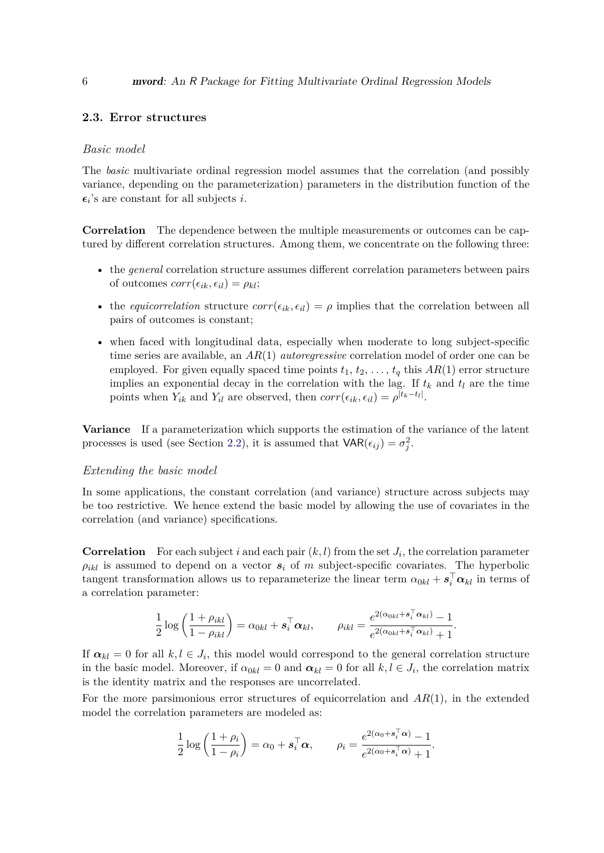### **2.3. Error structures**

#### *Basic model*

The *basic* multivariate ordinal regression model assumes that the correlation (and possibly variance, depending on the parameterization) parameters in the distribution function of the  $\epsilon_i$ 's are constant for all subjects *i*.

**Correlation** The dependence between the multiple measurements or outcomes can be captured by different correlation structures. Among them, we concentrate on the following three:

- the *general* correlation structure assumes different correlation parameters between pairs of outcomes  $corr(\epsilon_{ik}, \epsilon_{il}) = \rho_{kl}$ ;
- the *equicorrelation* structure  $corr(\epsilon_{ik}, \epsilon_{il}) = \rho$  implies that the correlation between all pairs of outcomes is constant;
- when faced with longitudinal data, especially when moderate to long subject-specific time series are available, an *AR*(1) *autoregressive* correlation model of order one can be employed. For given equally spaced time points  $t_1, t_2, \ldots, t_q$  this  $AR(1)$  error structure implies an exponential decay in the correlation with the lag. If  $t_k$  and  $t_l$  are the time points when  $Y_{ik}$  and  $Y_{il}$  are observed, then  $corr(\epsilon_{ik}, \epsilon_{il}) = \rho^{|t_k - t_l|}$ .

**Variance** If a parameterization which supports the estimation of the variance of the latent processes is used (see Section [2.2\)](#page-4-1), it is assumed that  $VAR(\epsilon_{ij}) = \sigma_j^2$ .

#### *Extending the basic model*

In some applications, the constant correlation (and variance) structure across subjects may be too restrictive. We hence extend the basic model by allowing the use of covariates in the correlation (and variance) specifications.

**Correlation** For each subject *i* and each pair  $(k, l)$  from the set  $J_i$ , the correlation parameter  $\rho_{ikl}$  is assumed to depend on a vector  $s_i$  of *m* subject-specific covariates. The hyperbolic tangent transformation allows us to reparameterize the linear term  $\alpha_{0kl} + s_i^{\top} \alpha_{kl}$  in terms of a correlation parameter:

$$
\frac{1}{2}\log\left(\frac{1+\rho_{ikl}}{1-\rho_{ikl}}\right)=\alpha_{0kl}+s_i^{\top}\alpha_{kl}, \qquad \rho_{ikl}=\frac{e^{2(\alpha_{0kl}+s_i^{\top}\alpha_{kl})}-1}{e^{2(\alpha_{0kl}+s_i^{\top}\alpha_{kl})}+1}.
$$

If  $\alpha_{kl} = 0$  for all  $k, l \in J_i$ , this model would correspond to the general correlation structure in the basic model. Moreover, if  $\alpha_{0kl} = 0$  and  $\alpha_{kl} = 0$  for all  $k, l \in J_i$ , the correlation matrix is the identity matrix and the responses are uncorrelated.

For the more parsimonious error structures of equicorrelation and *AR*(1), in the extended model the correlation parameters are modeled as:

$$
\frac{1}{2}\log\left(\frac{1+\rho_i}{1-\rho_i}\right)=\alpha_0+s_i^{\top}\alpha, \qquad \rho_i=\frac{e^{2(\alpha_0+s_i^{\top}\alpha)}-1}{e^{2(\alpha_0+s_i^{\top}\alpha)}+1}.
$$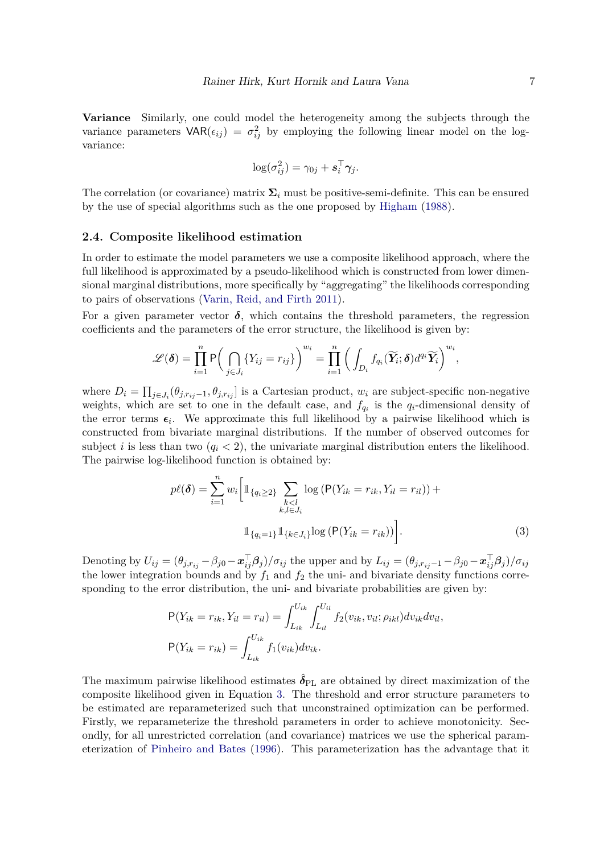**Variance** Similarly, one could model the heterogeneity among the subjects through the variance parameters  $VAR(\epsilon_{ij}) = \sigma_{ij}^2$  by employing the following linear model on the logvariance:

$$
\log(\sigma_{ij}^2) = \gamma_{0j} + \boldsymbol{s}_i^{\top} \boldsymbol{\gamma}_j.
$$

The correlation (or covariance) matrix  $\Sigma_i$  must be positive-semi-definite. This can be ensured by the use of special algorithms such as the one proposed by [Higham](#page-39-10) [\(1988\)](#page-39-10).

#### <span id="page-6-1"></span>**2.4. Composite likelihood estimation**

In order to estimate the model parameters we use a composite likelihood approach, where the full likelihood is approximated by a pseudo-likelihood which is constructed from lower dimensional marginal distributions, more specifically by "aggregating" the likelihoods corresponding to pairs of observations [\(Varin, Reid, and Firth 2011\)](#page-41-7).

For a given parameter vector  $\delta$ , which contains the threshold parameters, the regression coefficients and the parameters of the error structure, the likelihood is given by:

$$
\mathscr{L}(\boldsymbol{\delta}) = \prod_{i=1}^n \mathsf{P}\bigg(\bigcap_{j\in J_i} \{Y_{ij} = r_{ij}\}\bigg)^{w_i} = \prod_{i=1}^n \bigg(\int_{D_i} f_{q_i}(\widetilde{\boldsymbol{Y}_i}; \boldsymbol{\delta}) d^{q_i} \widetilde{\boldsymbol{Y}_i}\bigg)^{w_i},
$$

where  $D_i = \prod_{j \in J_i} (\theta_{j,r_{ij}-1}, \theta_{j,r_{ij}}]$  is a Cartesian product,  $w_i$  are subject-specific non-negative weights, which are set to one in the default case, and  $f_{q_i}$  is the  $q_i$ -dimensional density of the error terms  $\epsilon_i$ . We approximate this full likelihood by a pairwise likelihood which is constructed from bivariate marginal distributions. If the number of observed outcomes for subject *i* is less than two  $(q_i < 2)$ , the univariate marginal distribution enters the likelihood. The pairwise log-likelihood function is obtained by:

<span id="page-6-0"></span>
$$
p\ell(\boldsymbol{\delta}) = \sum_{i=1}^{n} w_i \bigg[ \mathbb{1}_{\{q_i \ge 2\}} \sum_{\substack{k < l \\ k, l \in J_i}} \log \left( \mathsf{P}(Y_{ik} = r_{ik}, Y_{il} = r_{il}) \right) + \mathbb{1}_{\{q_i = 1\}} \mathbb{1}_{\{k \in J_i\}} \log \left( \mathsf{P}(Y_{ik} = r_{ik}) \right) \bigg]. \tag{3}
$$

Denoting by  $U_{ij}=(\theta_{j,r_{ij}}-\beta_{j0}-\boldsymbol{x}_{ij}^{\top}\boldsymbol{\beta}_j)/\sigma_{ij}$  the upper and by  $L_{ij}=(\theta_{j,r_{ij}-1}-\beta_{j0}-\boldsymbol{x}_{ij}^{\top}\boldsymbol{\beta}_j)/\sigma_{ij}$ the lower integration bounds and by  $f_1$  and  $f_2$  the uni- and bivariate density functions corresponding to the error distribution, the uni- and bivariate probabilities are given by:

$$
P(Y_{ik} = r_{ik}, Y_{il} = r_{il}) = \int_{L_{ik}}^{U_{ik}} \int_{L_{il}}^{U_{il}} f_2(v_{ik}, v_{il}; \rho_{ikl}) dv_{ik} dv_{il},
$$

$$
P(Y_{ik} = r_{ik}) = \int_{L_{ik}}^{U_{ik}} f_1(v_{ik}) dv_{ik}.
$$

The maximum pairwise likelihood estimates  $\hat{\delta}_{PL}$  are obtained by direct maximization of the composite likelihood given in Equation [3.](#page-6-0) The threshold and error structure parameters to be estimated are reparameterized such that unconstrained optimization can be performed. Firstly, we reparameterize the threshold parameters in order to achieve monotonicity. Secondly, for all unrestricted correlation (and covariance) matrices we use the spherical parameterization of [Pinheiro and Bates](#page-40-13) [\(1996\)](#page-40-13). This parameterization has the advantage that it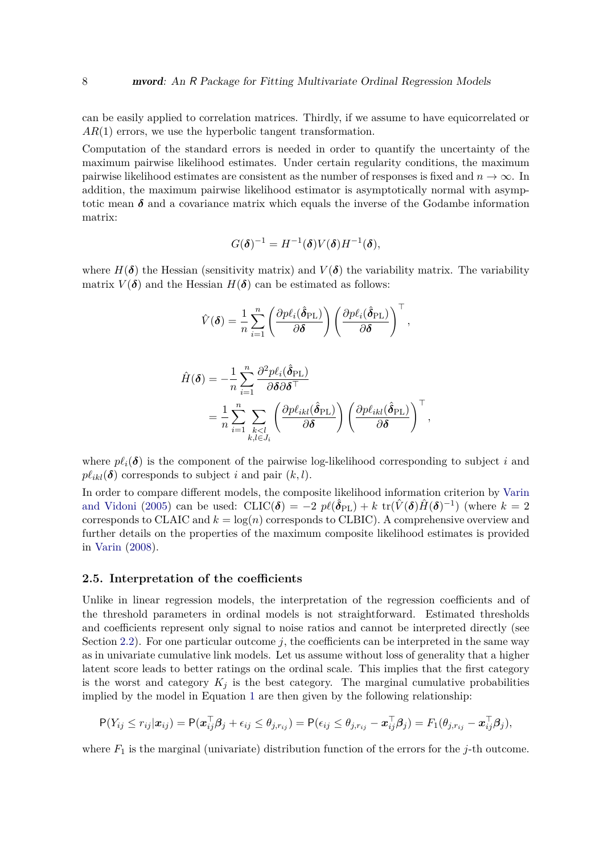can be easily applied to correlation matrices. Thirdly, if we assume to have equicorrelated or *AR*(1) errors, we use the hyperbolic tangent transformation.

Computation of the standard errors is needed in order to quantify the uncertainty of the maximum pairwise likelihood estimates. Under certain regularity conditions, the maximum pairwise likelihood estimates are consistent as the number of responses is fixed and  $n \to \infty$ . In addition, the maximum pairwise likelihood estimator is asymptotically normal with asymptotic mean  $\delta$  and a covariance matrix which equals the inverse of the Godambe information matrix:

$$
G(\boldsymbol{\delta})^{-1} = H^{-1}(\boldsymbol{\delta}) V(\boldsymbol{\delta}) H^{-1}(\boldsymbol{\delta}),
$$

where  $H(\boldsymbol{\delta})$  the Hessian (sensitivity matrix) and  $V(\boldsymbol{\delta})$  the variability matrix. The variability matrix  $V(\delta)$  and the Hessian  $H(\delta)$  can be estimated as follows:

$$
\hat{V}(\boldsymbol{\delta}) = \frac{1}{n} \sum_{i=1}^{n} \left( \frac{\partial p \ell_i(\hat{\boldsymbol{\delta}}_{\text{PL}})}{\partial \boldsymbol{\delta}} \right) \left( \frac{\partial p \ell_i(\hat{\boldsymbol{\delta}}_{\text{PL}})}{\partial \boldsymbol{\delta}} \right)^{\top},
$$

$$
\hat{H}(\boldsymbol{\delta}) = -\frac{1}{n} \sum_{i=1}^{n} \frac{\partial^2 p \ell_i(\hat{\delta}_{\mathrm{PL}})}{\partial \boldsymbol{\delta} \partial \boldsymbol{\delta}^\top} \n= \frac{1}{n} \sum_{i=1}^{n} \sum_{\substack{k < l \\ k, l \in J_i}} \left( \frac{\partial p \ell_{ikl}(\hat{\delta}_{\mathrm{PL}})}{\partial \boldsymbol{\delta}} \right) \left( \frac{\partial p \ell_{ikl}(\hat{\delta}_{\mathrm{PL}})}{\partial \boldsymbol{\delta}} \right)^\top,
$$

where  $p\ell_i(\delta)$  is the component of the pairwise log-likelihood corresponding to subject *i* and  $p\ell_{ikl}(\delta)$  corresponds to subject *i* and pair  $(k, l)$ .

In order to compare different models, the composite likelihood information criterion by [Varin](#page-41-8) [and Vidoni](#page-41-8) [\(2005\)](#page-41-8) can be used:  $CLIC(\delta) = -2 p\ell(\hat{\delta}_{PL}) + k \text{ tr}(\hat{V}(\delta)\hat{H}(\delta)^{-1})$  (where  $k = 2$ corresponds to CLAIC and  $k = \log(n)$  corresponds to CLBIC). A comprehensive overview and further details on the properties of the maximum composite likelihood estimates is provided in [Varin](#page-41-9) [\(2008\)](#page-41-9).

#### **2.5. Interpretation of the coefficients**

Unlike in linear regression models, the interpretation of the regression coefficients and of the threshold parameters in ordinal models is not straightforward. Estimated thresholds and coefficients represent only signal to noise ratios and cannot be interpreted directly (see Section [2.2\)](#page-4-1). For one particular outcome  $j$ , the coefficients can be interpreted in the same way as in univariate cumulative link models. Let us assume without loss of generality that a higher latent score leads to better ratings on the ordinal scale. This implies that the first category is the worst and category  $K_i$  is the best category. The marginal cumulative probabilities implied by the model in Equation [1](#page-3-1) are then given by the following relationship:

$$
\mathsf{P}(Y_{ij} \leq r_{ij} | \mathbf{x}_{ij}) = \mathsf{P}(\mathbf{x}_{ij}^{\top} \boldsymbol{\beta}_j + \epsilon_{ij} \leq \theta_{j,r_{ij}}) = \mathsf{P}(\epsilon_{ij} \leq \theta_{j,r_{ij}} - \mathbf{x}_{ij}^{\top} \boldsymbol{\beta}_j) = F_1(\theta_{j,r_{ij}} - \mathbf{x}_{ij}^{\top} \boldsymbol{\beta}_j),
$$

where  $F_1$  is the marginal (univariate) distribution function of the errors for the *j*-th outcome.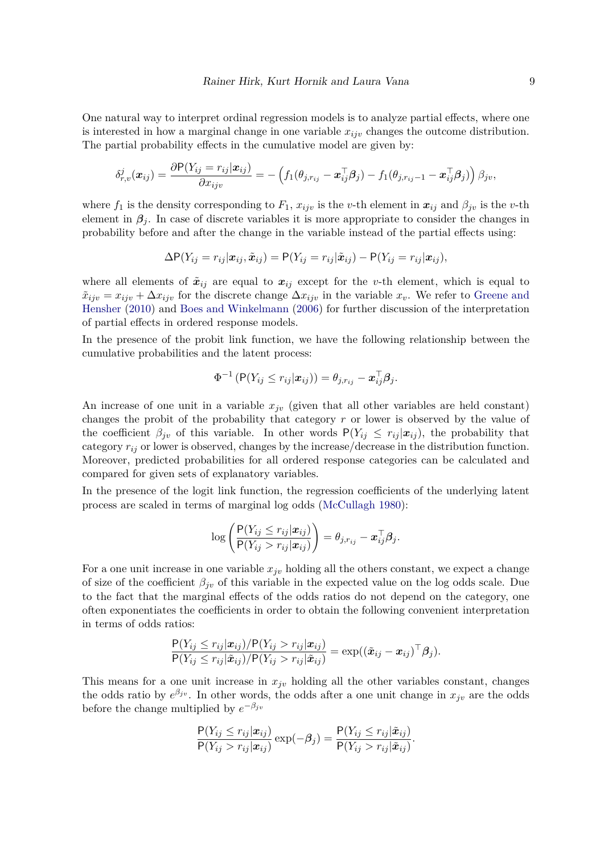One natural way to interpret ordinal regression models is to analyze partial effects, where one is interested in how a marginal change in one variable  $x_{ijv}$  changes the outcome distribution. The partial probability effects in the cumulative model are given by:

$$
\delta_{r,v}^j(\boldsymbol{x}_{ij}) = \frac{\partial \mathsf{P}(Y_{ij}=r_{ij}|\boldsymbol{x}_{ij})}{\partial x_{ijv}} = -\left(f_1(\theta_{j,r_{ij}}-\boldsymbol{x}_{ij}^{\top}\boldsymbol{\beta}_j)-f_1(\theta_{j,r_{ij}-1}-\boldsymbol{x}_{ij}^{\top}\boldsymbol{\beta}_j)\right)\beta_{jv},
$$

where  $f_1$  is the density corresponding to  $F_1$ ,  $x_{ij}$  is the *v*-th element in  $x_{ij}$  and  $\beta_{jv}$  is the *v*-th element in  $\beta_i$ . In case of discrete variables it is more appropriate to consider the changes in probability before and after the change in the variable instead of the partial effects using:

$$
\Delta P(Y_{ij} = r_{ij}|\boldsymbol{x}_{ij}, \tilde{\boldsymbol{x}}_{ij}) = P(Y_{ij} = r_{ij}|\tilde{\boldsymbol{x}}_{ij}) - P(Y_{ij} = r_{ij}|\boldsymbol{x}_{ij}),
$$

where all elements of  $\tilde{x}_{ij}$  are equal to  $x_{ij}$  except for the *v*-th element, which is equal to  $\tilde{x}_{ijv} = x_{ijv} + \Delta x_{ijv}$  for the discrete change  $\Delta x_{ijv}$  in the variable  $x_v$ . We refer to [Greene and](#page-39-11) [Hensher](#page-39-11) [\(2010\)](#page-39-11) and [Boes and Winkelmann](#page-38-7) [\(2006\)](#page-38-7) for further discussion of the interpretation of partial effects in ordered response models.

In the presence of the probit link function, we have the following relationship between the cumulative probabilities and the latent process:

$$
\Phi^{-1}(\mathsf{P}(Y_{ij}\leq r_{ij}|\boldsymbol{x}_{ij}))=\theta_{j,r_{ij}}-\boldsymbol{x}_{ij}^{\top}\boldsymbol{\beta}_{j}.
$$

An increase of one unit in a variable  $x_{j\nu}$  (given that all other variables are held constant) changes the probit of the probability that category *r* or lower is observed by the value of the coefficient  $\beta_{jv}$  of this variable. In other words  $P(Y_{ij} \leq r_{ij} | \mathbf{x}_{ij})$ , the probability that category  $r_{ij}$  or lower is observed, changes by the increase/decrease in the distribution function. Moreover, predicted probabilities for all ordered response categories can be calculated and compared for given sets of explanatory variables.

In the presence of the logit link function, the regression coefficients of the underlying latent process are scaled in terms of marginal log odds [\(McCullagh 1980\)](#page-40-8):

$$
\log \left( \frac{\mathsf{P}(Y_{ij} \leq r_{ij} | \boldsymbol{x}_{ij})}{\mathsf{P}(Y_{ij} > r_{ij} | \boldsymbol{x}_{ij})} \right) = \theta_{j,r_{ij}} - \boldsymbol{x}_{ij}^{\top} \boldsymbol{\beta}_j.
$$

For a one unit increase in one variable  $x_{jv}$  holding all the others constant, we expect a change of size of the coefficient  $\beta_{jv}$  of this variable in the expected value on the log odds scale. Due to the fact that the marginal effects of the odds ratios do not depend on the category, one often exponentiates the coefficients in order to obtain the following convenient interpretation in terms of odds ratios:

$$
\frac{\mathsf{P}(Y_{ij} \leq r_{ij}|\boldsymbol{x}_{ij})/\mathsf{P}(Y_{ij} > r_{ij}|\boldsymbol{x}_{ij})}{\mathsf{P}(Y_{ij} \leq r_{ij}|\tilde{\boldsymbol{x}}_{ij})/\mathsf{P}(Y_{ij} > r_{ij}|\tilde{\boldsymbol{x}}_{ij})} = \exp((\tilde{\boldsymbol{x}}_{ij} - \boldsymbol{x}_{ij})^{\top}\boldsymbol{\beta}_{j}).
$$

This means for a one unit increase in  $x_{jv}$  holding all the other variables constant, changes the odds ratio by  $e^{\beta_{j}v}$ . In other words, the odds after a one unit change in  $x_{j}v$  are the odds before the change multiplied by  $e^{-\beta_{jv}}$ 

$$
\frac{\mathsf{P}(Y_{ij} \leq r_{ij}|\boldsymbol{x}_{ij})}{\mathsf{P}(Y_{ij} > r_{ij}|\boldsymbol{x}_{ij})} \exp(-\beta_j) = \frac{\mathsf{P}(Y_{ij} \leq r_{ij}|\tilde{\boldsymbol{x}}_{ij})}{\mathsf{P}(Y_{ij} > r_{ij}|\tilde{\boldsymbol{x}}_{ij})}.
$$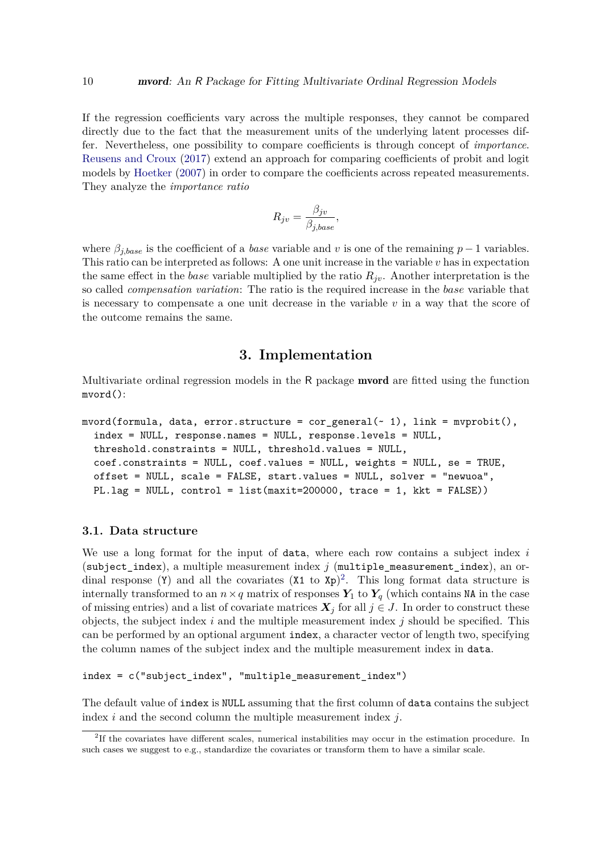If the regression coefficients vary across the multiple responses, they cannot be compared directly due to the fact that the measurement units of the underlying latent processes differ. Nevertheless, one possibility to compare coefficients is through concept of *importance*. [Reusens and Croux](#page-41-6) [\(2017\)](#page-41-6) extend an approach for comparing coefficients of probit and logit models by [Hoetker](#page-39-12) [\(2007\)](#page-39-12) in order to compare the coefficients across repeated measurements. They analyze the *importance ratio*

$$
R_{jv} = \frac{\beta_{jv}}{\beta_{j,base}},
$$

where  $\beta_{i,base}$  is the coefficient of a *base* variable and *v* is one of the remaining  $p-1$  variables. This ratio can be interpreted as follows: A one unit increase in the variable *v* has in expectation the same effect in the *base* variable multiplied by the ratio  $R_{jv}$ . Another interpretation is the so called *compensation variation*: The ratio is the required increase in the *base* variable that is necessary to compensate a one unit decrease in the variable *v* in a way that the score of the outcome remains the same.

# **3. Implementation**

<span id="page-9-0"></span>Multivariate ordinal regression models in the R package mvord are fitted using the function mvord():

```
mvord(formula, data, error.structure = cor\_general(\sim 1), link = mvprobit(),
  index = NULL, response.names = NULL, response.levels = NULL,
  threshold.constraints = NULL, threshold.values = NULL,
  coef.constraints = NULL, coef.values = NULL, weights = NULL, se = TRUE,
  offset = NULL, scale = FALSE, start.values = NULL, solver = "newuoa",
  PL.lag = NULL, control = list(maxit=200000, trace = 1, kkt = FALSE)
```
#### **3.1. Data structure**

We use a long format for the input of data, where each row contains a subject index *i* (subject\_index), a multiple measurement index *j* (multiple\_measurement\_index), an ordinal response (Y) and all the covariates  $(X1 \text{ to } Yp)^2$  $(X1 \text{ to } Yp)^2$ . This long format data structure is internally transformed to an  $n \times q$  matrix of responses  $Y_1$  to  $Y_q$  (which contains NA in the case of missing entries) and a list of covariate matrices  $\mathbf{X}_j$  for all  $j \in J$ . In order to construct these objects, the subject index *i* and the multiple measurement index *j* should be specified. This can be performed by an optional argument index, a character vector of length two, specifying the column names of the subject index and the multiple measurement index in data.

```
index = c("subject_index", "multiple_measurement_index")
```
The default value of index is NULL assuming that the first column of data contains the subject index *i* and the second column the multiple measurement index *j*.

<span id="page-9-1"></span><sup>&</sup>lt;sup>2</sup>If the covariates have different scales, numerical instabilities may occur in the estimation procedure. In such cases we suggest to e.g., standardize the covariates or transform them to have a similar scale.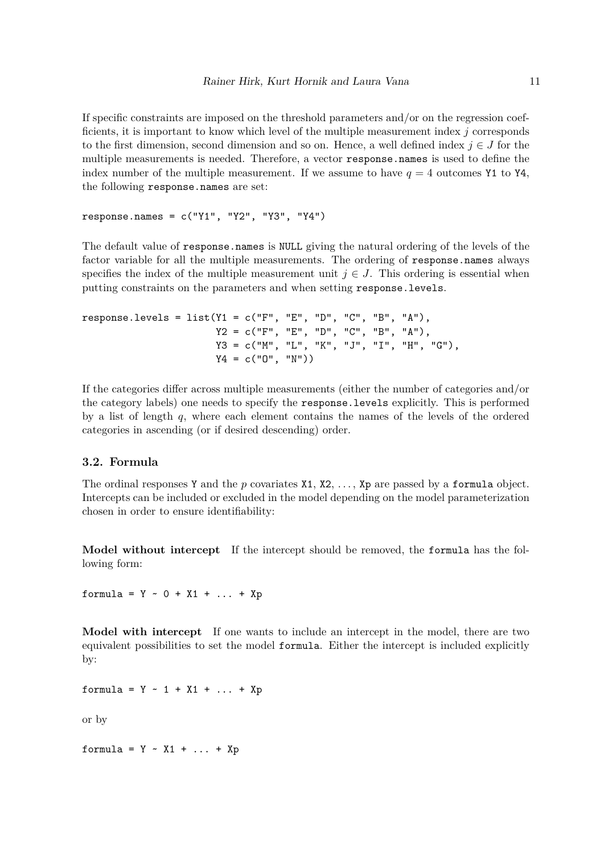If specific constraints are imposed on the threshold parameters and/or on the regression coefficients, it is important to know which level of the multiple measurement index *j* corresponds to the first dimension, second dimension and so on. Hence, a well defined index  $j \in J$  for the multiple measurements is needed. Therefore, a vector response.names is used to define the index number of the multiple measurement. If we assume to have  $q = 4$  outcomes Y1 to Y4, the following response.names are set:

```
response.names = c("Y1", "Y2", "Y3", "Y4")
```
The default value of response.names is NULL giving the natural ordering of the levels of the factor variable for all the multiple measurements. The ordering of response.names always specifies the index of the multiple measurement unit  $j \in J$ . This ordering is essential when putting constraints on the parameters and when setting response.levels.

```
response.levels = list(Y1 = c("F", "E", "D", "C", "B", "A"),
                      YZ = c("F", "E", "D", "C", "B", "A"),
                       Y3 = c("M", "L", "K", "J", "I", "H", "G"),
                       YA = c("0", "N")
```
If the categories differ across multiple measurements (either the number of categories and/or the category labels) one needs to specify the response.levels explicitly. This is performed by a list of length *q*, where each element contains the names of the levels of the ordered categories in ascending (or if desired descending) order.

#### **3.2. Formula**

The ordinal responses Y and the *p* covariates X1, X2, ..., Xp are passed by a formula object. Intercepts can be included or excluded in the model depending on the model parameterization chosen in order to ensure identifiability:

**Model without intercept** If the intercept should be removed, the formula has the following form:

formula = Y ~ 0 + X1 + ... + Xp

**Model with intercept** If one wants to include an intercept in the model, there are two equivalent possibilities to set the model formula. Either the intercept is included explicitly by:

formula = Y ~ 1 + X1 + ... + Xp

or by

formula =  $Y \sim X1 + ... + Xp$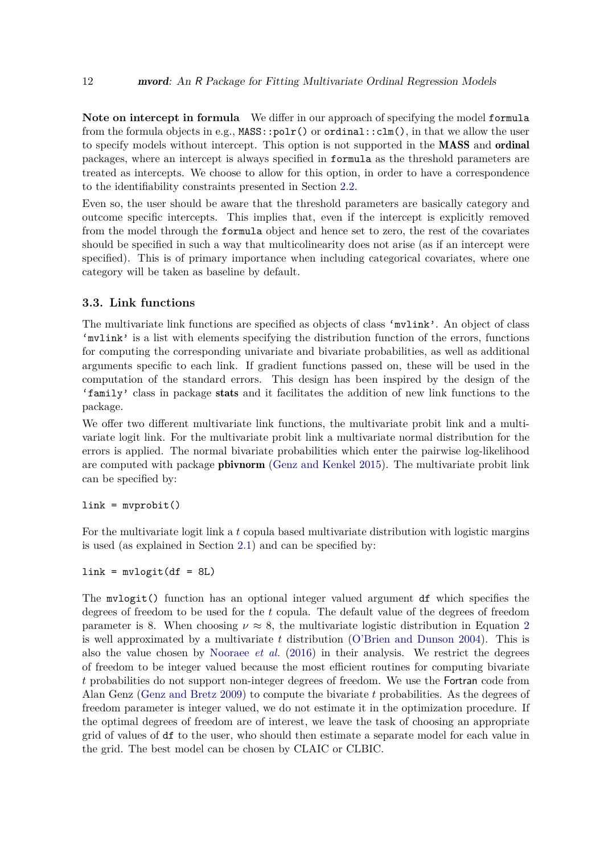**Note on intercept in formula** We differ in our approach of specifying the model formula from the formula objects in e.g., MASS::polr() or ordinal::clm(), in that we allow the user to specify models without intercept. This option is not supported in the MASS and ordinal packages, where an intercept is always specified in formula as the threshold parameters are treated as intercepts. We choose to allow for this option, in order to have a correspondence to the identifiability constraints presented in Section [2.2.](#page-4-1)

Even so, the user should be aware that the threshold parameters are basically category and outcome specific intercepts. This implies that, even if the intercept is explicitly removed from the model through the formula object and hence set to zero, the rest of the covariates should be specified in such a way that multicolinearity does not arise (as if an intercept were specified). This is of primary importance when including categorical covariates, where one category will be taken as baseline by default.

### **3.3. Link functions**

The multivariate link functions are specified as objects of class 'multink'. An object of class 'mvlink' is a list with elements specifying the distribution function of the errors, functions for computing the corresponding univariate and bivariate probabilities, as well as additional arguments specific to each link. If gradient functions passed on, these will be used in the computation of the standard errors. This design has been inspired by the design of the 'family' class in package stats and it facilitates the addition of new link functions to the package.

We offer two different multivariate link functions, the multivariate probit link and a multivariate logit link. For the multivariate probit link a multivariate normal distribution for the errors is applied. The normal bivariate probabilities which enter the pairwise log-likelihood are computed with package pbivnorm [\(Genz and Kenkel 2015\)](#page-39-13). The multivariate probit link can be specified by:

#### $link = myprobability()$

For the multivariate logit link a *t* copula based multivariate distribution with logistic margins is used (as explained in Section [2.1\)](#page-3-2) and can be specified by:

 $link = mvlogit(df = 8L)$ 

The mvlogit() function has an optional integer valued argument df which specifies the degrees of freedom to be used for the *t* copula. The default value of the degrees of freedom parameter is 8. When choosing  $\nu \approx 8$ , the multivariate logistic distribution in Equation [2](#page-4-2) is well approximated by a multivariate *t* distribution [\(O'Brien and Dunson 2004\)](#page-40-10). This is also the value chosen by [Nooraee](#page-40-11) *et al.* [\(2016\)](#page-40-11) in their analysis. We restrict the degrees of freedom to be integer valued because the most efficient routines for computing bivariate *t* probabilities do not support non-integer degrees of freedom. We use the Fortran code from Alan Genz [\(Genz and Bretz 2009\)](#page-39-14) to compute the bivariate *t* probabilities. As the degrees of freedom parameter is integer valued, we do not estimate it in the optimization procedure. If the optimal degrees of freedom are of interest, we leave the task of choosing an appropriate grid of values of df to the user, who should then estimate a separate model for each value in the grid. The best model can be chosen by CLAIC or CLBIC.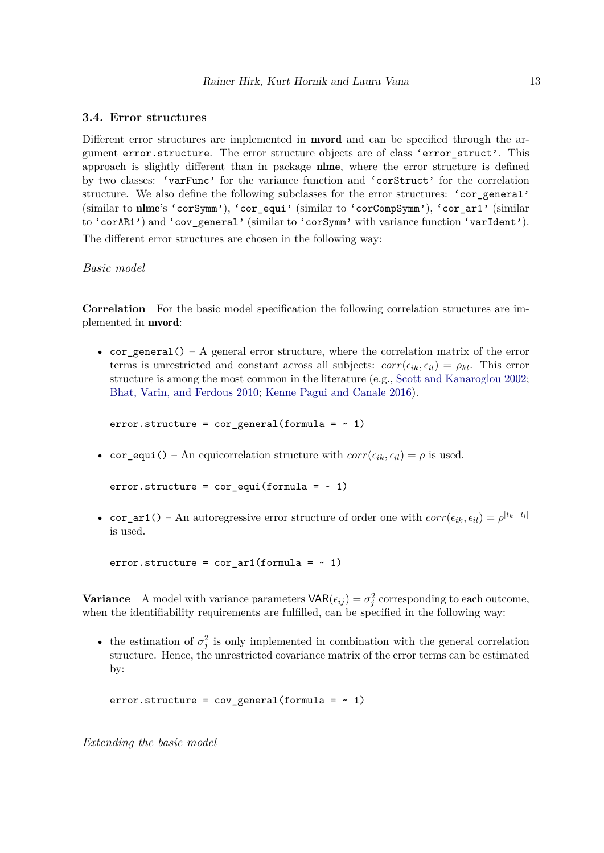#### **3.4. Error structures**

Different error structures are implemented in **mvord** and can be specified through the argument error.structure. The error structure objects are of class 'error\_struct'. This approach is slightly different than in package nlme, where the error structure is defined by two classes: 'varFunc' for the variance function and 'corStruct' for the correlation structure. We also define the following subclasses for the error structures: 'cor\_general' (similar to nlme's 'corSymm'), 'cor\_equi' (similar to 'corCompSymm'), 'cor\_ar1' (similar to 'corAR1') and 'cov\_general' (similar to 'corSymm' with variance function 'varIdent').

The different error structures are chosen in the following way:

### *Basic model*

**Correlation** For the basic model specification the following correlation structures are implemented in mvord:

• cor general() – A general error structure, where the correlation matrix of the error terms is unrestricted and constant across all subjects:  $corr(\epsilon_{ik}, \epsilon_{il}) = \rho_{kl}$ . This error structure is among the most common in the literature (e.g., [Scott and Kanaroglou 2002;](#page-41-10) [Bhat, Varin, and Ferdous 2010;](#page-38-8) [Kenne Pagui and Canale 2016\)](#page-39-15).

 $error.startucture = cor\_general(formula = ~ 1)$ 

• cor\_equi() – An equicorrelation structure with  $corr(\epsilon_{ik}, \epsilon_{il}) = \rho$  is used.

```
error.startucture = cor\_equi(formula = ~ 1)
```
• cor\_ar1() – An autoregressive error structure of order one with  $corr(\epsilon_{ik}, \epsilon_{il}) = \rho^{|t_k - t_l|}$ is used.

error.structure =  $cor\_ar1(formula = ~ 1)$ 

**Variance** A model with variance parameters  $VAR(\epsilon_{ij}) = \sigma_j^2$  corresponding to each outcome, when the identifiability requirements are fulfilled, can be specified in the following way:

• the estimation of  $\sigma_j^2$  is only implemented in combination with the general correlation structure. Hence, the unrestricted covariance matrix of the error terms can be estimated by:

```
error.startucture = cov\_general(formula = ~ 1)
```
*Extending the basic model*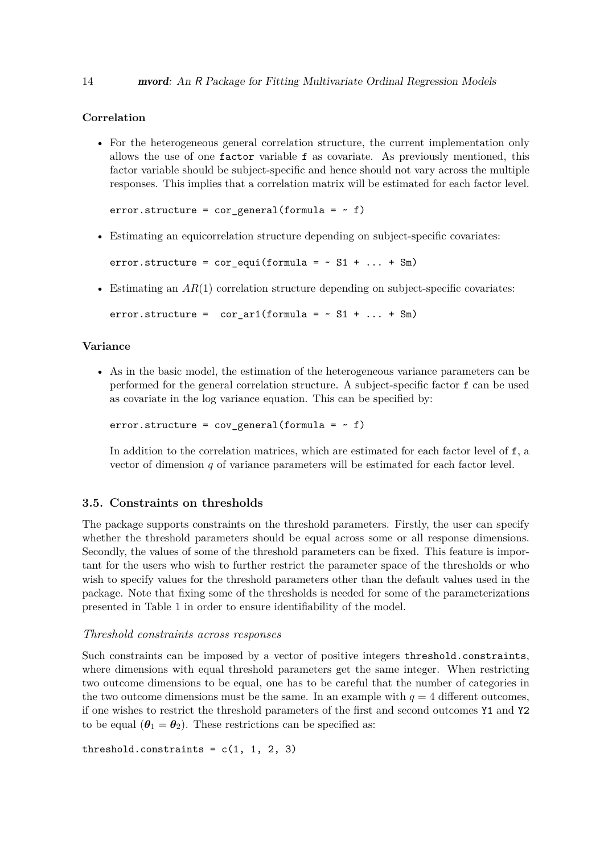## **Correlation**

• For the heterogeneous general correlation structure, the current implementation only allows the use of one factor variable f as covariate. As previously mentioned, this factor variable should be subject-specific and hence should not vary across the multiple responses. This implies that a correlation matrix will be estimated for each factor level.

error.structure = cor\_general(formula =  $~$  f)

• Estimating an equicorrelation structure depending on subject-specific covariates:

error.structure =  $cor$ -equi(formula =  $~s$  S1 + ... + Sm)

• Estimating an  $AR(1)$  correlation structure depending on subject-specific covariates:

error.structure = cor ar1(formula =  $~\sim$  S1 + ... + Sm)

#### **Variance**

• As in the basic model, the estimation of the heterogeneous variance parameters can be performed for the general correlation structure. A subject-specific factor f can be used as covariate in the log variance equation. This can be specified by:

 $error.startucture = cov\_general(fromula = ~ f)$ 

In addition to the correlation matrices, which are estimated for each factor level of f, a vector of dimension *q* of variance parameters will be estimated for each factor level.

# <span id="page-13-0"></span>**3.5. Constraints on thresholds**

The package supports constraints on the threshold parameters. Firstly, the user can specify whether the threshold parameters should be equal across some or all response dimensions. Secondly, the values of some of the threshold parameters can be fixed. This feature is important for the users who wish to further restrict the parameter space of the thresholds or who wish to specify values for the threshold parameters other than the default values used in the package. Note that fixing some of the thresholds is needed for some of the parameterizations presented in Table [1](#page-14-0) in order to ensure identifiability of the model.

#### *Threshold constraints across responses*

Such constraints can be imposed by a vector of positive integers threshold.constraints, where dimensions with equal threshold parameters get the same integer. When restricting two outcome dimensions to be equal, one has to be careful that the number of categories in the two outcome dimensions must be the same. In an example with  $q = 4$  different outcomes, if one wishes to restrict the threshold parameters of the first and second outcomes Y1 and Y2 to be equal  $(\theta_1 = \theta_2)$ . These restrictions can be specified as:

threshold.constraints =  $c(1, 1, 2, 3)$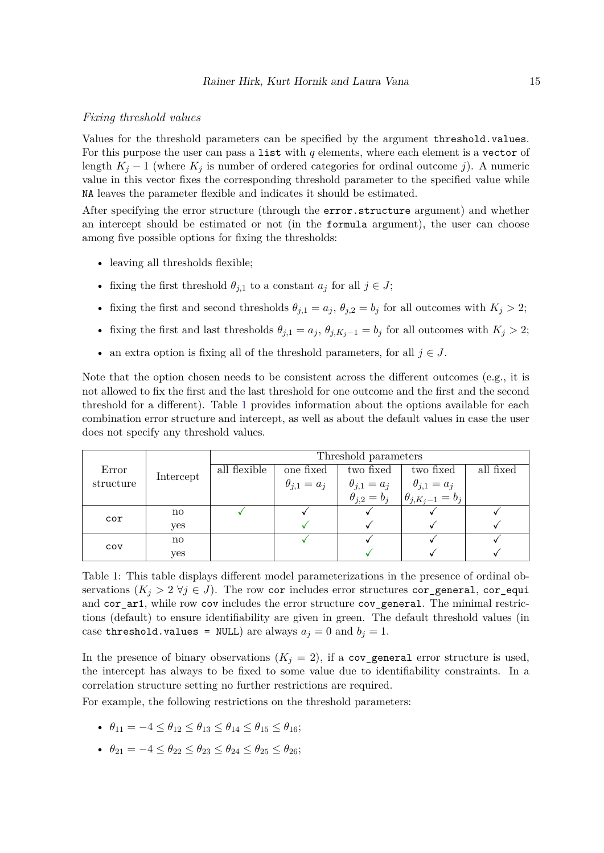#### *Fixing threshold values*

Values for the threshold parameters can be specified by the argument threshold.values. For this purpose the user can pass a list with  $q$  elements, where each element is a vector of length  $K_j - 1$  (where  $K_j$  is number of ordered categories for ordinal outcome *j*). A numeric value in this vector fixes the corresponding threshold parameter to the specified value while NA leaves the parameter flexible and indicates it should be estimated.

After specifying the error structure (through the error.structure argument) and whether an intercept should be estimated or not (in the formula argument), the user can choose among five possible options for fixing the thresholds:

- leaving all thresholds flexible;
- fixing the first threshold  $\theta_{j,1}$  to a constant  $a_j$  for all  $j \in J$ ;
- fixing the first and second thresholds  $\theta_{j,1} = a_j$ ,  $\theta_{j,2} = b_j$  for all outcomes with  $K_j > 2$ ;
- fixing the first and last thresholds  $θ_{j,1} = a_j$ ,  $θ_{j,K_j-1} = b_j$  for all outcomes with  $K_j > 2$ ;
- an extra option is fixing all of the threshold parameters, for all  $j \in J$ .

Note that the option chosen needs to be consistent across the different outcomes (e.g., it is not allowed to fix the first and the last threshold for one outcome and the first and the second threshold for a different). Table [1](#page-14-0) provides information about the options available for each combination error structure and intercept, as well as about the default values in case the user does not specify any threshold values.

|                    |                        | Threshold parameters |                      |                           |                            |           |
|--------------------|------------------------|----------------------|----------------------|---------------------------|----------------------------|-----------|
| Error<br>structure | Intercept              | all flexible         | one fixed            | two fixed                 | two fixed                  | all fixed |
|                    |                        |                      | $\theta_{j,1} = a_j$ | $\theta_{j,1}=a_j$        | $\theta_{j,1}=a_j$         |           |
|                    |                        |                      |                      | $\ddot{\theta}_{j,2}=b_j$ | $\theta_{j,K_i-1} = b_{i}$ |           |
| cor                | no                     |                      |                      |                           |                            |           |
|                    | yes                    |                      |                      |                           |                            |           |
| <b>COV</b>         | $\mathbf{n}\mathbf{o}$ |                      |                      |                           |                            |           |
|                    | <b>ves</b>             |                      |                      |                           |                            |           |

<span id="page-14-0"></span>Table 1: This table displays different model parameterizations in the presence of ordinal observations  $(K_j > 2 \forall j \in J)$ . The row cor includes error structures cor\_general, cor\_equi and cor\_ar1, while row cov includes the error structure cov\_general. The minimal restrictions (default) to ensure identifiability are given in green. The default threshold values (in case threshold.values = NULL) are always  $a_j = 0$  and  $b_j = 1$ .

In the presence of binary observations  $(K_j = 2)$ , if a cov\_general error structure is used, the intercept has always to be fixed to some value due to identifiability constraints. In a correlation structure setting no further restrictions are required.

For example, the following restrictions on the threshold parameters:

- $θ_{11} = -4 < θ_{12} < θ_{13} < θ_{14} < θ_{15} < θ_{16};$
- $\theta_{21} = -4 \le \theta_{22} \le \theta_{23} \le \theta_{24} \le \theta_{25} \le \theta_{26};$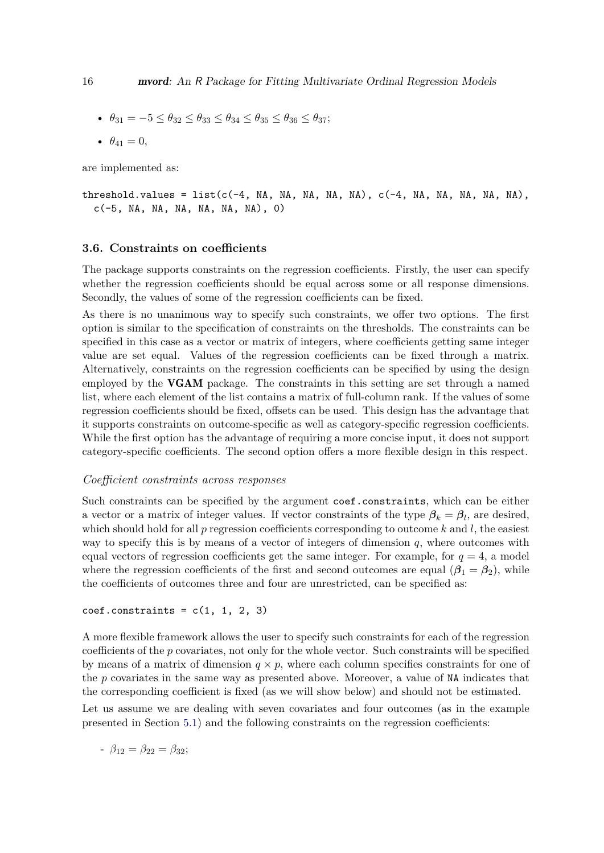•  $θ_{31} = -5 < θ_{32} < θ_{33} < θ_{34} < θ_{35} < θ_{36} < θ_{37}$ ;

•  $\theta_{41} = 0$ ,

are implemented as:

threshold.values = list(c(-4, NA, NA, NA, NA, NA), c(-4, NA, NA, NA, NA, NA),  $c(-5, NA, NA, NA, NA, NA, NA)$ , 0)

### **3.6. Constraints on coefficients**

The package supports constraints on the regression coefficients. Firstly, the user can specify whether the regression coefficients should be equal across some or all response dimensions. Secondly, the values of some of the regression coefficients can be fixed.

As there is no unanimous way to specify such constraints, we offer two options. The first option is similar to the specification of constraints on the thresholds. The constraints can be specified in this case as a vector or matrix of integers, where coefficients getting same integer value are set equal. Values of the regression coefficients can be fixed through a matrix. Alternatively, constraints on the regression coefficients can be specified by using the design employed by the VGAM package. The constraints in this setting are set through a named list, where each element of the list contains a matrix of full-column rank. If the values of some regression coefficients should be fixed, offsets can be used. This design has the advantage that it supports constraints on outcome-specific as well as category-specific regression coefficients. While the first option has the advantage of requiring a more concise input, it does not support category-specific coefficients. The second option offers a more flexible design in this respect.

#### *Coefficient constraints across responses*

Such constraints can be specified by the argument coef.constraints, which can be either a vector or a matrix of integer values. If vector constraints of the type  $\beta_k = \beta_l$ , are desired, which should hold for all *p* regression coefficients corresponding to outcome *k* and *l*, the easiest way to specify this is by means of a vector of integers of dimension *q*, where outcomes with equal vectors of regression coefficients get the same integer. For example, for  $q = 4$ , a model where the regression coefficients of the first and second outcomes are equal  $(\beta_1 = \beta_2)$ , while the coefficients of outcomes three and four are unrestricted, can be specified as:

 $coef.$ constraints =  $c(1, 1, 2, 3)$ 

A more flexible framework allows the user to specify such constraints for each of the regression coefficients of the *p* covariates, not only for the whole vector. Such constraints will be specified by means of a matrix of dimension  $q \times p$ , where each column specifies constraints for one of the *p* covariates in the same way as presented above. Moreover, a value of NA indicates that the corresponding coefficient is fixed (as we will show below) and should not be estimated.

Let us assume we are dealing with seven covariates and four outcomes (as in the example presented in Section [5.1\)](#page-24-1) and the following constraints on the regression coefficients:

$$
- \beta_{12} = \beta_{22} = \beta_{32};
$$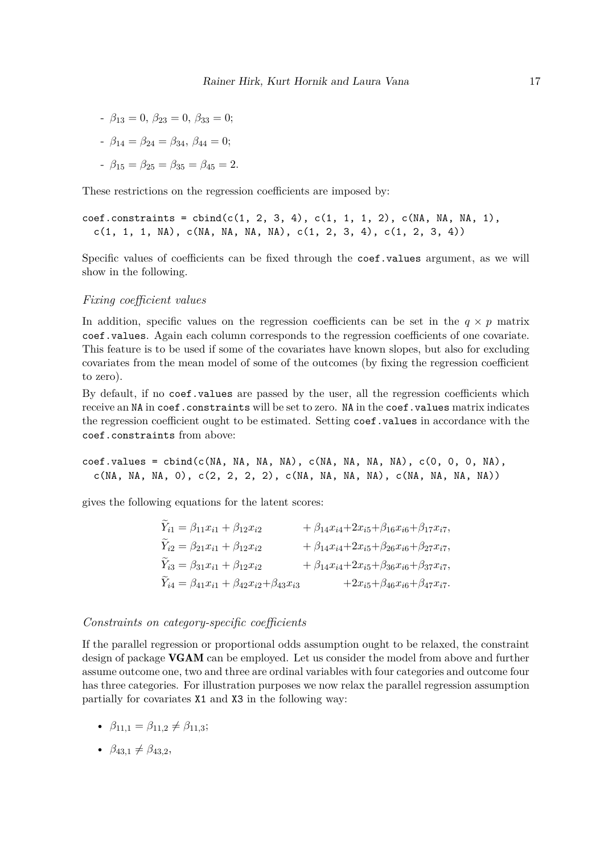$-\beta_{13} = 0, \ \beta_{23} = 0, \ \beta_{33} = 0;$ 

$$
- \beta_{14} = \beta_{24} = \beta_{34}, \ \beta_{44} = 0;
$$

- 
$$
\beta_{15} = \beta_{25} = \beta_{35} = \beta_{45} = 2.
$$

These restrictions on the regression coefficients are imposed by:

```
\text{coeff.} constraints = cbind(c(1, 2, 3, 4), c(1, 1, 1, 2), c(NA, NA, NA, 1),
 c(1, 1, 1, NA), c(MA, NA, NA, NA), c(1, 2, 3, 4), c(1, 2, 3, 4))
```
Specific values of coefficients can be fixed through the coef.values argument, as we will show in the following.

#### *Fixing coefficient values*

In addition, specific values on the regression coefficients can be set in the  $q \times p$  matrix coef.values. Again each column corresponds to the regression coefficients of one covariate. This feature is to be used if some of the covariates have known slopes, but also for excluding covariates from the mean model of some of the outcomes (by fixing the regression coefficient to zero).

By default, if no coef.values are passed by the user, all the regression coefficients which receive an NA in coef.constraints will be set to zero. NA in the coef.values matrix indicates the regression coefficient ought to be estimated. Setting coef.values in accordance with the coef.constraints from above:

$$
coeff.va
$$
lues =  $cbind(c(NA, NA, NA, NA), c(NA, NA, NA, NA), c(0, 0, 0, NA), c(NA, NA, NA, 0), c(2, 2, 2, 2), c(NA, NA, NA), A(MA, NA, NA, NA, NA))$ 

gives the following equations for the latent scores:

| $Y_{i1} = \beta_{11}x_{i1} + \beta_{12}x_{i2}$                    | + $\beta_{14}x_{i4}+2x_{i5}+\beta_{16}x_{i6}+\beta_{17}x_{i7},$ |
|-------------------------------------------------------------------|-----------------------------------------------------------------|
| $Y_{i2} = \beta_{21}x_{i1} + \beta_{12}x_{i2}$                    | + $\beta_{14}x_{i4}+2x_{i5}+\beta_{26}x_{i6}+\beta_{27}x_{i7},$ |
| $Y_{i3} = \beta_{31}x_{i1} + \beta_{12}x_{i2}$                    | + $\beta_{14}x_{i4}+2x_{i5}+\beta_{36}x_{i6}+\beta_{37}x_{i7},$ |
| $Y_{i4} = \beta_{41}x_{i1} + \beta_{42}x_{i2} + \beta_{43}x_{i3}$ | $+2x_{i5}+\beta_{46}x_{i6}+\beta_{47}x_{i7}.$                   |

#### *Constraints on category-specific coefficients*

If the parallel regression or proportional odds assumption ought to be relaxed, the constraint design of package VGAM can be employed. Let us consider the model from above and further assume outcome one, two and three are ordinal variables with four categories and outcome four has three categories. For illustration purposes we now relax the parallel regression assumption partially for covariates X1 and X3 in the following way:

- $\beta_{11.1} = \beta_{11.2} \neq \beta_{11.3}$ ;
- $\beta_{43,1} \neq \beta_{43,2}$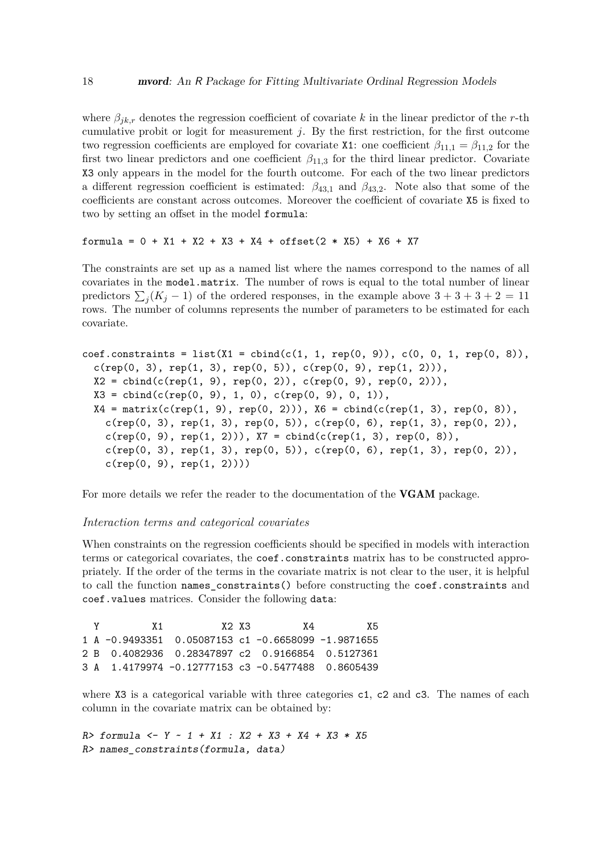where  $\beta_{ik,r}$  denotes the regression coefficient of covariate k in the linear predictor of the r-th cumulative probit or logit for measurement *j*. By the first restriction, for the first outcome two regression coefficients are employed for covariate X1: one coefficient  $\beta_{11,1} = \beta_{11,2}$  for the first two linear predictors and one coefficient  $\beta_{11,3}$  for the third linear predictor. Covariate X3 only appears in the model for the fourth outcome. For each of the two linear predictors a different regression coefficient is estimated:  $\beta_{43,1}$  and  $\beta_{43,2}$ . Note also that some of the coefficients are constant across outcomes. Moreover the coefficient of covariate X5 is fixed to two by setting an offset in the model formula:

#### formula = 0 + X1 + X2 + X3 + X4 + offset(2 \* X5) + X6 + X7

The constraints are set up as a named list where the names correspond to the names of all covariates in the model.matrix. The number of rows is equal to the total number of linear predictors  $\sum_{j} (K_j - 1)$  of the ordered responses, in the example above  $3 + 3 + 3 + 2 = 11$ rows. The number of columns represents the number of parameters to be estimated for each covariate.

```
coef.constraints = list(X1 = cbind(c(1, 1, rep(0, 9)), c(0, 0, 1, rep(0, 8)),
  c(rep(0, 3), rep(1, 3), rep(0, 5)), c(rep(0, 9), rep(1, 2))),X2 = \text{cbind}(c(\text{rep}(1, 9), \text{rep}(0, 2)), c(\text{rep}(0, 9), \text{rep}(0, 2))),X3 = \text{cbind}(c(\text{rep}(0, 9), 1, 0), c(\text{rep}(0, 9), 0, 1)),X4 = matrix(c(rep(1, 9), rep(0, 2))), X6 = child(c(rep(1, 3), rep(0, 8)),
    c(rep(0, 3), rep(1, 3), rep(0, 5)), c(rep(0, 6), rep(1, 3), rep(0, 2)),c(rep(0, 9), rep(1, 2))), X7 = cbind(c(rep(1, 3), rep(0, 8)),
    c(rep(0, 3), rep(1, 3), rep(0, 5)), c(rep(0, 6), rep(1, 3), rep(0, 2)),c(rep(0, 9), rep(1, 2))))
```
For more details we refer the reader to the documentation of the **VGAM** package.

#### *Interaction terms and categorical covariates*

When constraints on the regression coefficients should be specified in models with interaction terms or categorical covariates, the coef.constraints matrix has to be constructed appropriately. If the order of the terms in the covariate matrix is not clear to the user, it is helpful to call the function names\_constraints() before constructing the coef.constraints and coef.values matrices. Consider the following data:

```
Y X1 X2 X3 X4 X5
1 A -0.9493351 0.05087153 c1 -0.6658099 -1.9871655
2 B 0.4082936 0.28347897 c2 0.9166854 0.5127361
3 A 1.4179974 -0.12777153 c3 -0.5477488 0.8605439
```
where X3 is a categorical variable with three categories c1, c2 and c3. The names of each column in the covariate matrix can be obtained by:

*R> formula <- Y ~ 1 + X1 : X2 + X3 + X4 + X3 \* X5 R> names\_constraints(formula, data)*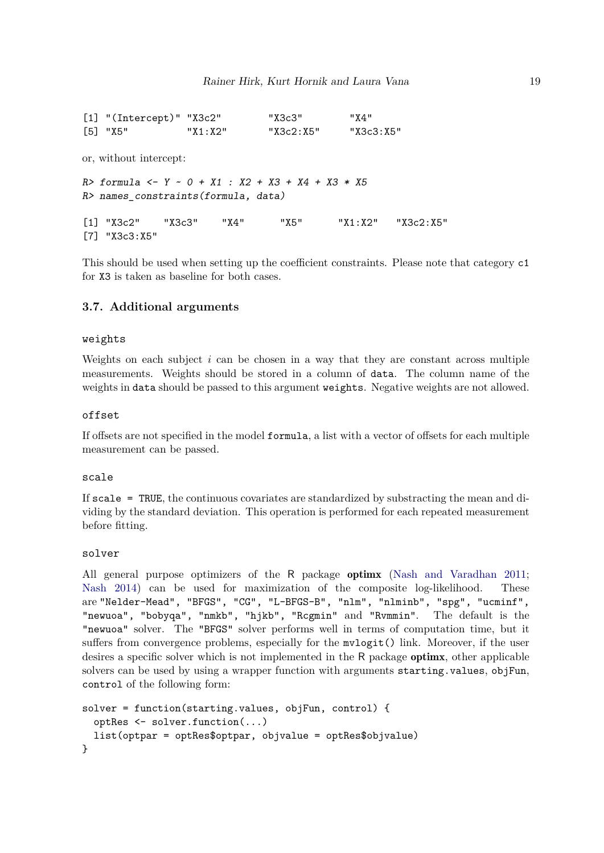```
[1] "(Intercept)" "X3c2" "X3c3" "X4"
[5] "X5" "X1:X2" "X3c2:X5" "X3c3:X5"
or, without intercept:
R> formula <- Y ~ 0 + X1 : X2 + X3 + X4 + X3 * X5
R> names_constraints(formula, data)
[1] "X3c2" "X3c3" "X4" "X5" "X1:X2" "X3c2:X5"
[7] "X3c3:X5"
```
This should be used when setting up the coefficient constraints. Please note that category c1 for X3 is taken as baseline for both cases.

#### **3.7. Additional arguments**

#### weights

Weights on each subject *i* can be chosen in a way that they are constant across multiple measurements. Weights should be stored in a column of data. The column name of the weights in data should be passed to this argument weights. Negative weights are not allowed.

#### offset

If offsets are not specified in the model formula, a list with a vector of offsets for each multiple measurement can be passed.

#### scale

If scale = TRUE, the continuous covariates are standardized by substracting the mean and dividing by the standard deviation. This operation is performed for each repeated measurement before fitting.

#### solver

All general purpose optimizers of the R package optimx [\(Nash and Varadhan 2011;](#page-40-14) [Nash 2014\)](#page-40-15) can be used for maximization of the composite log-likelihood. These are "Nelder-Mead", "BFGS", "CG", "L-BFGS-B", "nlm", "nlminb", "spg", "ucminf", "newuoa", "bobyqa", "nmkb", "hjkb", "Rcgmin" and "Rvmmin". The default is the "newuoa" solver. The "BFGS" solver performs well in terms of computation time, but it suffers from convergence problems, especially for the mvlogit() link. Moreover, if the user desires a specific solver which is not implemented in the R package optimx, other applicable solvers can be used by using a wrapper function with arguments starting.values, objFun, control of the following form:

```
solver = function(starting.values, objFun, control) {
 optRes <- solver.function(...)
 list(optpar = optRes$optpar, objvalue = optRes$objvalue)
}
```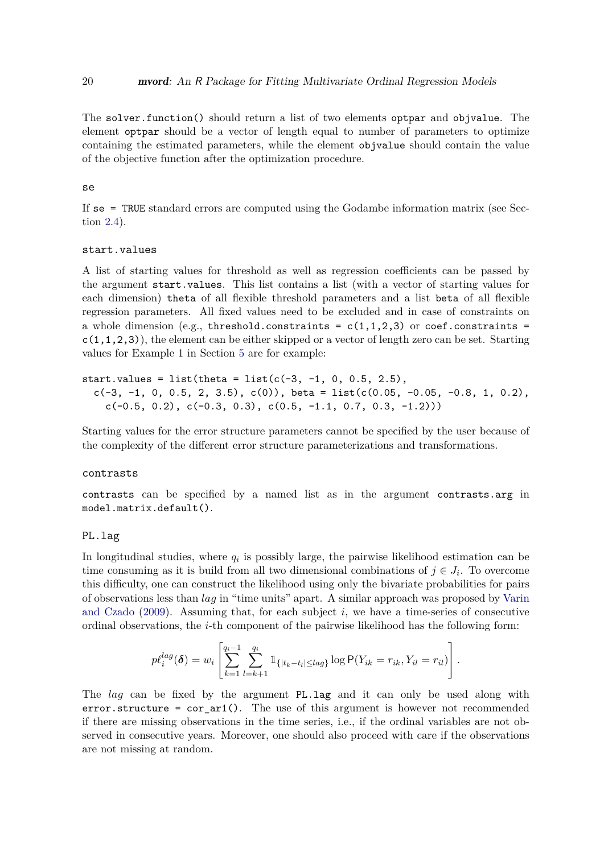The solver.function() should return a list of two elements optpar and objvalue. The element optpar should be a vector of length equal to number of parameters to optimize containing the estimated parameters, while the element objvalue should contain the value of the objective function after the optimization procedure.

#### se

If se = TRUE standard errors are computed using the Godambe information matrix (see Section [2.4\)](#page-6-1).

#### start.values

A list of starting values for threshold as well as regression coefficients can be passed by the argument start.values. This list contains a list (with a vector of starting values for each dimension) theta of all flexible threshold parameters and a list beta of all flexible regression parameters. All fixed values need to be excluded and in case of constraints on a whole dimension (e.g., threshold.constraints =  $c(1,1,2,3)$  or coef.constraints =  $c(1,1,2,3)$ , the element can be either skipped or a vector of length zero can be set. Starting values for Example 1 in Section [5](#page-24-0) are for example:

start.values = list(theta = list( $c(-3, -1, 0, 0.5, 2.5)$ , c(-3, -1, 0, 0.5, 2, 3.5), c(0)), beta = list(c(0.05, -0.05, -0.8, 1, 0.2),  $c(-0.5, 0.2), c(-0.3, 0.3), c(0.5, -1.1, 0.7, 0.3, -1.2)))$ 

Starting values for the error structure parameters cannot be specified by the user because of the complexity of the different error structure parameterizations and transformations.

#### contrasts

contrasts can be specified by a named list as in the argument contrasts.arg in model.matrix.default().

#### PL.lag

In longitudinal studies, where  $q_i$  is possibly large, the pairwise likelihood estimation can be time consuming as it is build from all two dimensional combinations of  $j \in J_i$ . To overcome this difficulty, one can construct the likelihood using only the bivariate probabilities for pairs of observations less than *lag* in "time units" apart. A similar approach was proposed by [Varin](#page-41-11) [and Czado](#page-41-11)  $(2009)$ . Assuming that, for each subject  $i$ , we have a time-series of consecutive ordinal observations, the *i*-th component of the pairwise likelihood has the following form:

$$
p\ell_i^{lag}(\boldsymbol{\delta}) = w_i \left[ \sum_{k=1}^{q_i-1} \sum_{l=k+1}^{q_i} \mathbb{1}_{\{|t_k - t_l| \leq lag\}} \log \mathsf{P}(Y_{ik} = r_{ik}, Y_{il} = r_{il}) \right].
$$

The *lag* can be fixed by the argument PL.lag and it can only be used along with error.structure =  $cor_{ar1}()$ . The use of this argument is however not recommended if there are missing observations in the time series, i.e., if the ordinal variables are not observed in consecutive years. Moreover, one should also proceed with care if the observations are not missing at random.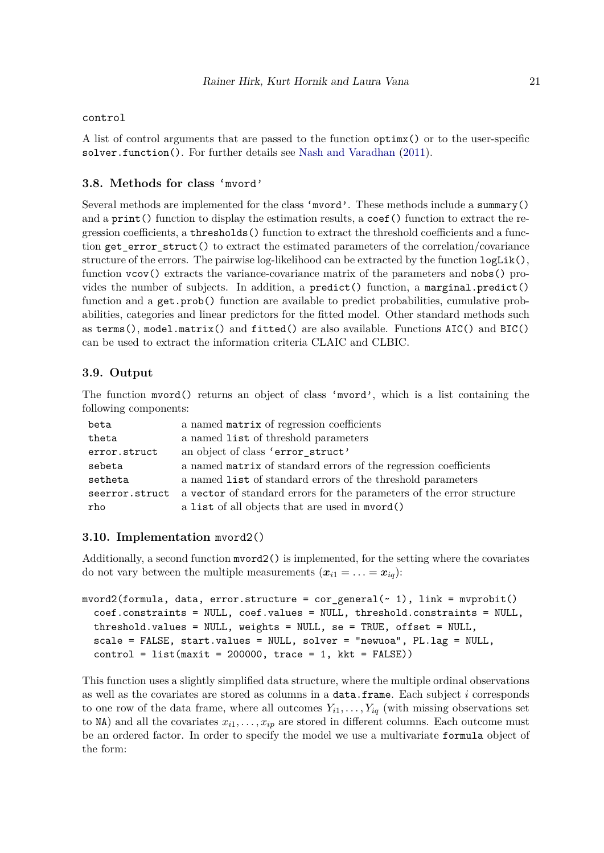#### control

A list of control arguments that are passed to the function optimx() or to the user-specific solver.function(). For further details see [Nash and Varadhan](#page-40-14) [\(2011\)](#page-40-14).

### **3.8. Methods for class** 'mvord'

Several methods are implemented for the class 'mvord'. These methods include a summary() and a print () function to display the estimation results, a coef () function to extract the regression coefficients, a thresholds() function to extract the threshold coefficients and a function get\_error\_struct() to extract the estimated parameters of the correlation/covariance structure of the errors. The pairwise log-likelihood can be extracted by the function  $logList()$ , function vcov() extracts the variance-covariance matrix of the parameters and nobs() provides the number of subjects. In addition, a predict() function, a marginal.predict() function and a get.prob() function are available to predict probabilities, cumulative probabilities, categories and linear predictors for the fitted model. Other standard methods such as terms(), model.matrix() and fitted() are also available. Functions AIC() and BIC() can be used to extract the information criteria CLAIC and CLBIC.

# **3.9. Output**

The function mvord() returns an object of class 'mvord', which is a list containing the following components:

| beta           | a named matrix of regression coefficients                             |
|----------------|-----------------------------------------------------------------------|
| theta          | a named list of threshold parameters                                  |
| error.struct   | an object of class 'error_struct'                                     |
| sebeta         | a named matrix of standard errors of the regression coefficients      |
| setheta        | a named list of standard errors of the threshold parameters           |
| seerror.struct | a vector of standard errors for the parameters of the error structure |
| rho            | a list of all objects that are used in myord()                        |

#### **3.10. Implementation** mvord2()

Additionally, a second function mvord2() is implemented, for the setting where the covariates do not vary between the multiple measurements  $(\mathbf{x}_{i1} = \ldots = \mathbf{x}_{iq})$ :

```
mvord2(formula, data, error.structure = cor general(\sim 1), link = mvprobit()
  coef.constraints = NULL, coef.values = NULL, threshold.constraints = NULL,
  threshold.values = NULL, weights = NULL, se = TRUE, offset = NULL,
  scale = FALSE, start.values = NULL, solver = "newuoa", PL.lag = NULL,
  control = list(maxit = 200000, trace = 1, kkt = FALSE)
```
This function uses a slightly simplified data structure, where the multiple ordinal observations as well as the covariates are stored as columns in a data.frame. Each subject *i* corresponds to one row of the data frame, where all outcomes  $Y_{i1}, \ldots, Y_{iq}$  (with missing observations set to  $NA$ ) and all the covariates  $x_{i1}, \ldots, x_{ip}$  are stored in different columns. Each outcome must be an ordered factor. In order to specify the model we use a multivariate formula object of the form: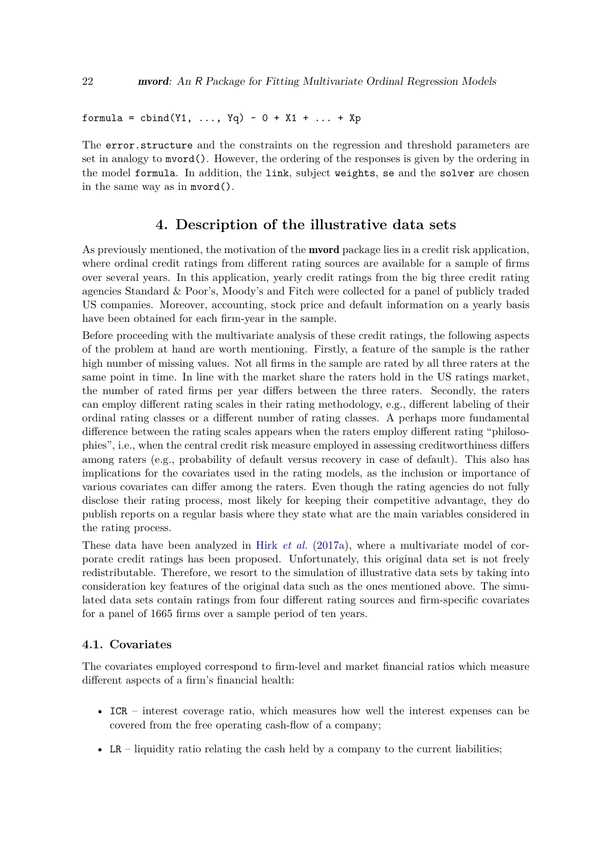formula = cbind(Y1, ..., Yq) ~  $0 + X1 + ... + Xp$ 

The error.structure and the constraints on the regression and threshold parameters are set in analogy to mvord(). However, the ordering of the responses is given by the ordering in the model formula. In addition, the link, subject weights, se and the solver are chosen in the same way as in mvord().

# **4. Description of the illustrative data sets**

<span id="page-21-0"></span>As previously mentioned, the motivation of the **mvord** package lies in a credit risk application, where ordinal credit ratings from different rating sources are available for a sample of firms over several years. In this application, yearly credit ratings from the big three credit rating agencies Standard & Poor's, Moody's and Fitch were collected for a panel of publicly traded US companies. Moreover, accounting, stock price and default information on a yearly basis have been obtained for each firm-year in the sample.

Before proceeding with the multivariate analysis of these credit ratings, the following aspects of the problem at hand are worth mentioning. Firstly, a feature of the sample is the rather high number of missing values. Not all firms in the sample are rated by all three raters at the same point in time. In line with the market share the raters hold in the US ratings market, the number of rated firms per year differs between the three raters. Secondly, the raters can employ different rating scales in their rating methodology, e.g., different labeling of their ordinal rating classes or a different number of rating classes. A perhaps more fundamental difference between the rating scales appears when the raters employ different rating "philosophies", i.e., when the central credit risk measure employed in assessing creditworthiness differs among raters (e.g., probability of default versus recovery in case of default). This also has implications for the covariates used in the rating models, as the inclusion or importance of various covariates can differ among the raters. Even though the rating agencies do not fully disclose their rating process, most likely for keeping their competitive advantage, they do publish reports on a regular basis where they state what are the main variables considered in the rating process.

These data have been analyzed in Hirk *[et al.](#page-39-8)* [\(2017a\)](#page-39-8), where a multivariate model of corporate credit ratings has been proposed. Unfortunately, this original data set is not freely redistributable. Therefore, we resort to the simulation of illustrative data sets by taking into consideration key features of the original data such as the ones mentioned above. The simulated data sets contain ratings from four different rating sources and firm-specific covariates for a panel of 1665 firms over a sample period of ten years.

#### **4.1. Covariates**

The covariates employed correspond to firm-level and market financial ratios which measure different aspects of a firm's financial health:

- ICR interest coverage ratio, which measures how well the interest expenses can be covered from the free operating cash-flow of a company;
- LR liquidity ratio relating the cash held by a company to the current liabilities;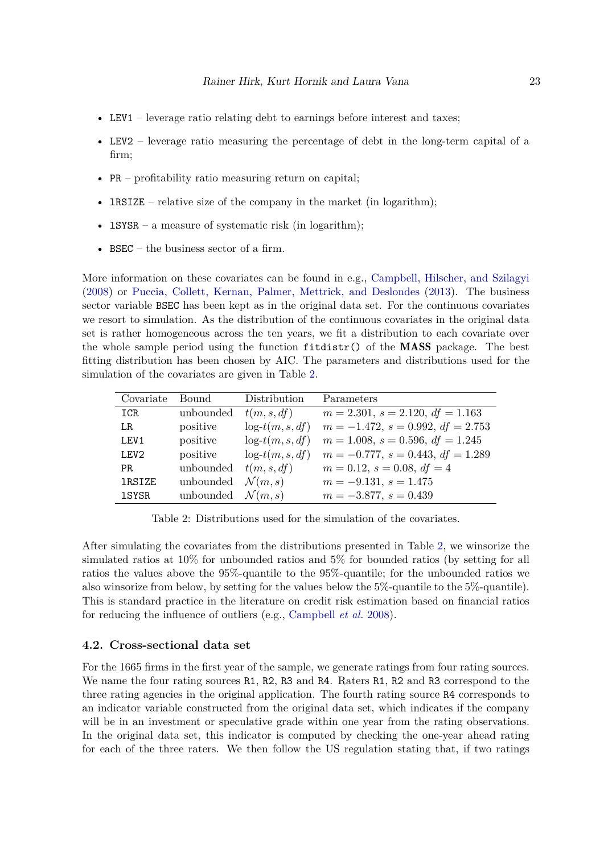- LEV1 leverage ratio relating debt to earnings before interest and taxes;
- LEV2 leverage ratio measuring the percentage of debt in the long-term capital of a firm;
- PR profitability ratio measuring return on capital;
- **IRSIZE** relative size of the company in the market (in logarithm);
- **lSYSR** a measure of systematic risk (in logarithm);
- BSEC the business sector of a firm.

More information on these covariates can be found in e.g., [Campbell, Hilscher, and Szilagyi](#page-38-9) [\(2008\)](#page-38-9) or [Puccia, Collett, Kernan, Palmer, Mettrick, and Deslondes](#page-41-12) [\(2013\)](#page-41-12). The business sector variable BSEC has been kept as in the original data set. For the continuous covariates we resort to simulation. As the distribution of the continuous covariates in the original data set is rather homogeneous across the ten years, we fit a distribution to each covariate over the whole sample period using the function fitdistr() of the MASS package. The best fitting distribution has been chosen by AIC. The parameters and distributions used for the simulation of the covariates are given in Table [2.](#page-22-0)

| Covariate        | Bound                        | Distribution       | Parameters                                |
|------------------|------------------------------|--------------------|-------------------------------------------|
| ICR              | unbounded                    | t(m, s, df)        | $m = 2.301$ , $s = 2.120$ , $df = 1.163$  |
| LR               | positive                     | $log-t(m, s, df)$  | $m = -1.472$ , $s = 0.992$ , $df = 2.753$ |
| LEV1             | positive                     | $log-t(m, s, df)$  | $m = 1.008$ , $s = 0.596$ , $df = 1.245$  |
| LEV <sub>2</sub> | positive                     | $log-t(m, s, df)$  | $m = -0.777$ , $s = 0.443$ , $df = 1.289$ |
| PR               | unbounded                    | t(m, s, df)        | $m = 0.12$ , $s = 0.08$ , $df = 4$        |
| <b>1RSIZE</b>    | unbounded                    | $\mathcal{N}(m,s)$ | $m = -9.131, s = 1.475$                   |
| <b>1SYSR</b>     | unbounded $\mathcal{N}(m,s)$ |                    | $m = -3.877, s = 0.439$                   |

<span id="page-22-0"></span>Table 2: Distributions used for the simulation of the covariates.

After simulating the covariates from the distributions presented in Table [2,](#page-22-0) we winsorize the simulated ratios at 10% for unbounded ratios and 5% for bounded ratios (by setting for all ratios the values above the 95%-quantile to the 95%-quantile; for the unbounded ratios we also winsorize from below, by setting for the values below the 5%-quantile to the 5%-quantile). This is standard practice in the literature on credit risk estimation based on financial ratios for reducing the influence of outliers (e.g., [Campbell](#page-38-9) *et al.* [2008\)](#page-38-9).

#### **4.2. Cross-sectional data set**

For the 1665 firms in the first year of the sample, we generate ratings from four rating sources. We name the four rating sources R1, R2, R3 and R4. Raters R1, R2 and R3 correspond to the three rating agencies in the original application. The fourth rating source R4 corresponds to an indicator variable constructed from the original data set, which indicates if the company will be in an investment or speculative grade within one year from the rating observations. In the original data set, this indicator is computed by checking the one-year ahead rating for each of the three raters. We then follow the US regulation stating that, if two ratings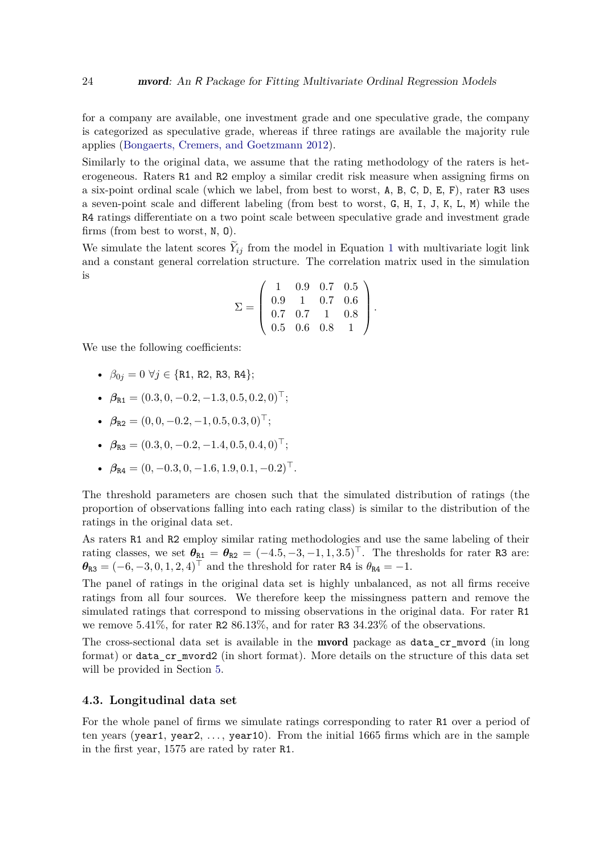for a company are available, one investment grade and one speculative grade, the company is categorized as speculative grade, whereas if three ratings are available the majority rule applies [\(Bongaerts, Cremers, and Goetzmann 2012\)](#page-38-10).

Similarly to the original data, we assume that the rating methodology of the raters is heterogeneous. Raters R1 and R2 employ a similar credit risk measure when assigning firms on a six-point ordinal scale (which we label, from best to worst, A, B, C, D, E, F), rater R3 uses a seven-point scale and different labeling (from best to worst, G, H, I, J, K, L, M) while the R4 ratings differentiate on a two point scale between speculative grade and investment grade firms (from best to worst, N, O).

We simulate the latent scores  $Y_{ij}$  from the model in Equation [1](#page-3-1) with multivariate logit link and a constant general correlation structure. The correlation matrix used in the simulation is

$$
\Sigma = \left(\begin{array}{cccc} 1 & 0.9 & 0.7 & 0.5 \\ 0.9 & 1 & 0.7 & 0.6 \\ 0.7 & 0.7 & 1 & 0.8 \\ 0.5 & 0.6 & 0.8 & 1 \end{array}\right).
$$

We use the following coefficients:

- $\beta_{0j} = 0 \ \forall j \in \{R1, R2, R3, R4\};$
- $\beta_{\text{R1}} = (0.3, 0, -0.2, -1.3, 0.5, 0.2, 0)^\top;$
- $\beta_{\text{R2}} = (0, 0, -0.2, -1, 0.5, 0.3, 0)^\top;$
- $\beta_{\text{R3}} = (0.3, 0, -0.2, -1.4, 0.5, 0.4, 0)^\top;$
- $\beta_{\text{R4}} = (0, -0.3, 0, -1.6, 1.9, 0.1, -0.2)^\top$ .

The threshold parameters are chosen such that the simulated distribution of ratings (the proportion of observations falling into each rating class) is similar to the distribution of the ratings in the original data set.

As raters R1 and R2 employ similar rating methodologies and use the same labeling of their rating classes, we set  $\theta_{R1} = \theta_{R2} = (-4.5, -3, -1, 1, 3.5)$ <sup>T</sup>. The thresholds for rater R3 are:  $\theta_{\text{R3}} = (-6, -3, 0, 1, 2, 4)$ <sup>T</sup> and the threshold for rater R4 is  $\theta_{\text{R4}} = -1$ .

The panel of ratings in the original data set is highly unbalanced, as not all firms receive ratings from all four sources. We therefore keep the missingness pattern and remove the simulated ratings that correspond to missing observations in the original data. For rater R1 we remove 5*.*41%, for rater R2 86*.*13%, and for rater R3 34*.*23% of the observations.

The cross-sectional data set is available in the **mvord** package as data\_cr\_mvord (in long format) or data\_cr\_mvord2 (in short format). More details on the structure of this data set will be provided in Section [5.](#page-24-0)

#### **4.3. Longitudinal data set**

For the whole panel of firms we simulate ratings corresponding to rater R1 over a period of ten years (year1, year2, *. . .* , year10). From the initial 1665 firms which are in the sample in the first year, 1575 are rated by rater R1.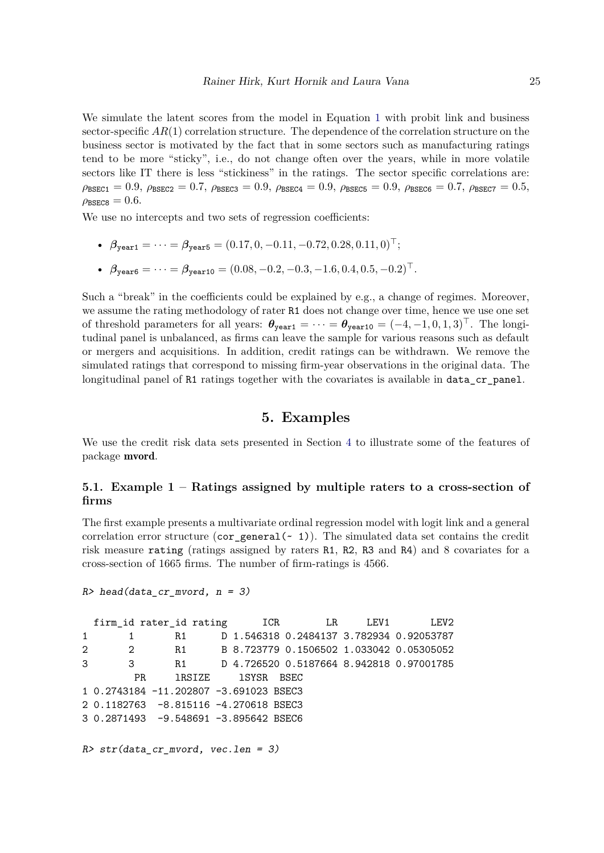We simulate the latent scores from the model in Equation [1](#page-3-1) with probit link and business sector-specific  $AR(1)$  correlation structure. The dependence of the correlation structure on the business sector is motivated by the fact that in some sectors such as manufacturing ratings tend to be more "sticky", i.e., do not change often over the years, while in more volatile sectors like IT there is less "stickiness" in the ratings. The sector specific correlations are:  $\rho_{\text{BSEC1}} = 0.9$ ,  $\rho_{\text{BSEC2}} = 0.7$ ,  $\rho_{\text{BSEC3}} = 0.9$ ,  $\rho_{\text{BSEC4}} = 0.9$ ,  $\rho_{\text{BSEC5}} = 0.9$ ,  $\rho_{\text{BSEC6}} = 0.7$ ,  $\rho_{\text{BSEC7}} = 0.5$ ,  $\rho_{\text{BSECB}} = 0.6$ .

We use no intercepts and two sets of regression coefficients:

- $\beta_{\text{year1}} = \cdots = \beta_{\text{year5}} = (0.17, 0, -0.11, -0.72, 0.28, 0.11, 0)^\top;$
- $\beta_{\text{year6}} = \cdots = \beta_{\text{year10}} = (0.08, -0.2, -0.3, -1.6, 0.4, 0.5, -0.2)^\top.$

Such a "break" in the coefficients could be explained by e.g., a change of regimes. Moreover, we assume the rating methodology of rater R1 does not change over time, hence we use one set of threshold parameters for all years:  $\theta_{\text{year1}} = \cdots = \theta_{\text{year10}} = (-4, -1, 0, 1, 3)^\top$ . The longitudinal panel is unbalanced, as firms can leave the sample for various reasons such as default or mergers and acquisitions. In addition, credit ratings can be withdrawn. We remove the simulated ratings that correspond to missing firm-year observations in the original data. The longitudinal panel of R1 ratings together with the covariates is available in data\_cr\_panel.

# **5. Examples**

<span id="page-24-0"></span>We use the credit risk data sets presented in Section [4](#page-21-0) to illustrate some of the features of package mvord.

# <span id="page-24-1"></span>**5.1. Example 1 – Ratings assigned by multiple raters to a cross-section of firms**

The first example presents a multivariate ordinal regression model with logit link and a general correlation error structure ( $cor\_general(-1)$ ). The simulated data set contains the credit risk measure rating (ratings assigned by raters R1, R2, R3 and R4) and 8 covariates for a cross-section of 1665 firms. The number of firm-ratings is 4566.

```
R> head(data_cr_mvord, n = 3)
```
firm\_id rater\_id rating 1CR LR LEV1 LEV2 1 1 R1 D 1.546318 0.2484137 3.782934 0.92053787 2 2 R1 B 8.723779 0.1506502 1.033042 0.05305052 3 3 R1 D 4.726520 0.5187664 8.942818 0.97001785 PR 1RSIZE 1SYSR BSEC 1 0.2743184 -11.202807 -3.691023 BSEC3 2 0.1182763 -8.815116 -4.270618 BSEC3 3 0.2871493 -9.548691 -3.895642 BSEC6 *R> str(data\_cr\_mvord, vec.len = 3)*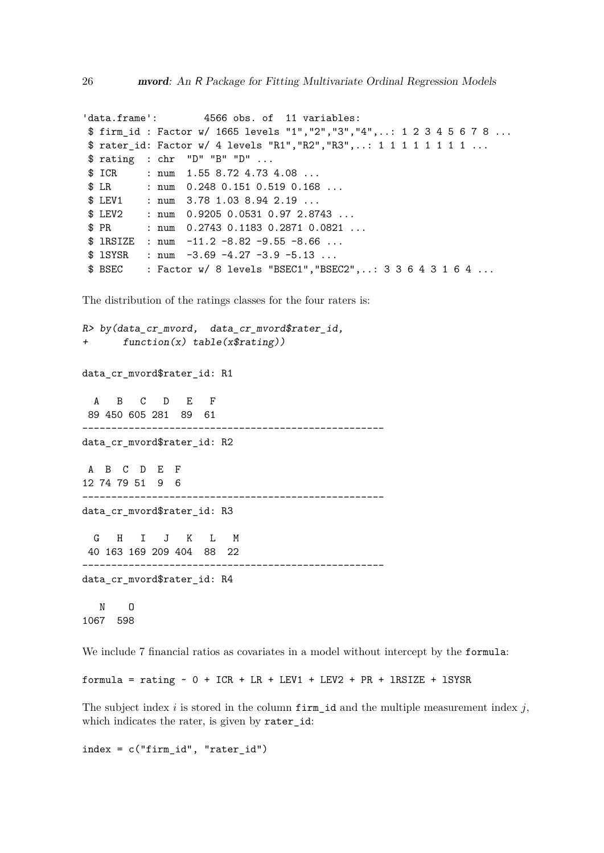```
'data.frame': 4566 obs. of 11 variables:
$ firm_id : Factor w/ 1665 levels "1","2","3","4",..: 1 2 3 4 5 6 7 8 ...
$ rater_id: Factor w/ 4 levels "R1", "R2", "R3",..: 1 1 1 1 1 1 1 1 1 ...
$ rating : chr "D" "B" "D" ...
$ ICR : num 1.55 8.72 4.73 4.08 ...
$ LR : num 0.248 0.151 0.519 0.168 ...
$ LEV1 : num 3.78 1.03 8.94 2.19 ...
$ LEV2 : num 0.9205 0.0531 0.97 2.8743 ...
$ PR : num  0.2743 0.1183 0.2871 0.0821 ...
$ 1RSIZE : num -11.2 -8.82 -9.55 -8.66 ...$ lSYSR : num -3.69 -4.27 -3.9 -5.13 ...
$ BSEC : Factor w/ 8 levels "BSEC1","BSEC2",..: 3 3 6 4 3 1 6 4 ...
```
The distribution of the ratings classes for the four raters is:

```
R> by(data_cr_mvord, data_cr_mvord$rater_id,
+ function(x) table(x$rating))
data_cr_mvord$rater_id: R1
 A B C D E F
89 450 605 281 89 61
----------------------------------------------------
data_cr_mvord$rater_id: R2
A B C D E F
12 74 79 51 9 6
----------------------------------------------------
data_cr_mvord$rater_id: R3
 G H I J K L M
40 163 169 209 404 88 22
   ----------------------------------------------------
data cr_mvord$rater_id: R4
  N O
1067 598
```
We include 7 financial ratios as covariates in a model without intercept by the formula:

formula = rating ~ 0 + ICR + LR + LEV1 + LEV2 + PR + lRSIZE + lSYSR

The subject index *i* is stored in the column firm id and the multiple measurement index  $j$ , which indicates the rater, is given by rater id:

 $index = c("firm_id", "rater_id")$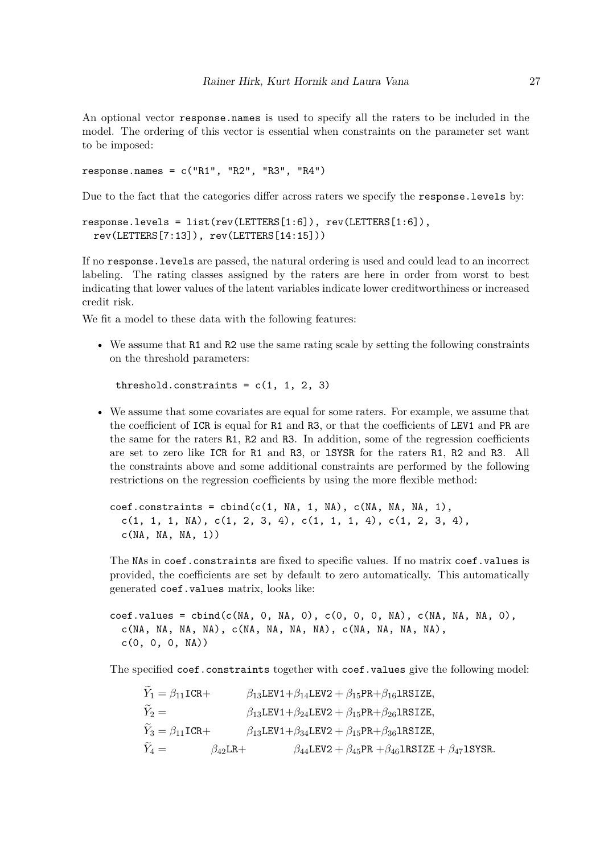An optional vector response.names is used to specify all the raters to be included in the model. The ordering of this vector is essential when constraints on the parameter set want to be imposed:

response.names = c("R1", "R2", "R3", "R4")

Due to the fact that the categories differ across raters we specify the response.levels by:

```
response.levels = list(rev(LETTERS[1:6]), rev(LETTERS[1:6]),
 rev(LETTERS[7:13]), rev(LETTERS[14:15]))
```
If no response.levels are passed, the natural ordering is used and could lead to an incorrect labeling. The rating classes assigned by the raters are here in order from worst to best indicating that lower values of the latent variables indicate lower creditworthiness or increased credit risk.

We fit a model to these data with the following features:

• We assume that R1 and R2 use the same rating scale by setting the following constraints on the threshold parameters:

threshold.constraints =  $c(1, 1, 2, 3)$ 

• We assume that some covariates are equal for some raters. For example, we assume that the coefficient of ICR is equal for R1 and R3, or that the coefficients of LEV1 and PR are the same for the raters R1, R2 and R3. In addition, some of the regression coefficients are set to zero like ICR for R1 and R3, or lSYSR for the raters R1, R2 and R3. All the constraints above and some additional constraints are performed by the following restrictions on the regression coefficients by using the more flexible method:

 $\text{coeff.}\text{constraints} = \text{cbind}(c(1, NA, 1, NA), c(MA, NA, NA, 1),$  $c(1, 1, 1, NA), c(1, 2, 3, 4), c(1, 1, 1, 4), c(1, 2, 3, 4),$  $c(NA, NA, NA, 1))$ 

The NAs in coef.constraints are fixed to specific values. If no matrix coef.values is provided, the coefficients are set by default to zero automatically. This automatically generated coef.values matrix, looks like:

 $\text{coeff}$ .values = cbind(c(NA, 0, NA, 0), c(0, 0, 0, NA), c(NA, NA, NA, 0),  $c(NA, NA, NA, NA), c(NA, NA, NA, NA), c(NA, NA, NA, NA),$  $c(0, 0, 0, NA)$ 

The specified coef.constraints together with coef.values give the following model:

$$
\begin{aligned} Y_1 &= \beta_{11}\text{ICR}+ \qquad \qquad \beta_{13}\text{LEV1}+\beta_{14}\text{LEV2}+\beta_{15}\text{PR}+\beta_{16}\text{lRSIZE},\\ \widetilde{Y}_2 &= \qquad \qquad \beta_{13}\text{LEV1}+\beta_{24}\text{LEV2}+\beta_{15}\text{PR}+\beta_{26}\text{lRSIZE},\\ \widetilde{Y}_3 &= \beta_{11}\text{ICR}+ \qquad \qquad \beta_{13}\text{LEV1}+\beta_{34}\text{LEV2}+\beta_{15}\text{PR}+\beta_{36}\text{lRSIZE},\\ \widetilde{Y}_4 &= \qquad \qquad \beta_{42}\text{LR}+ \qquad \qquad \beta_{44}\text{LEV2}+\beta_{45}\text{PR}+\beta_{46}\text{lRSIZE}+\beta_{47}\text{lSSR}. \end{aligned}
$$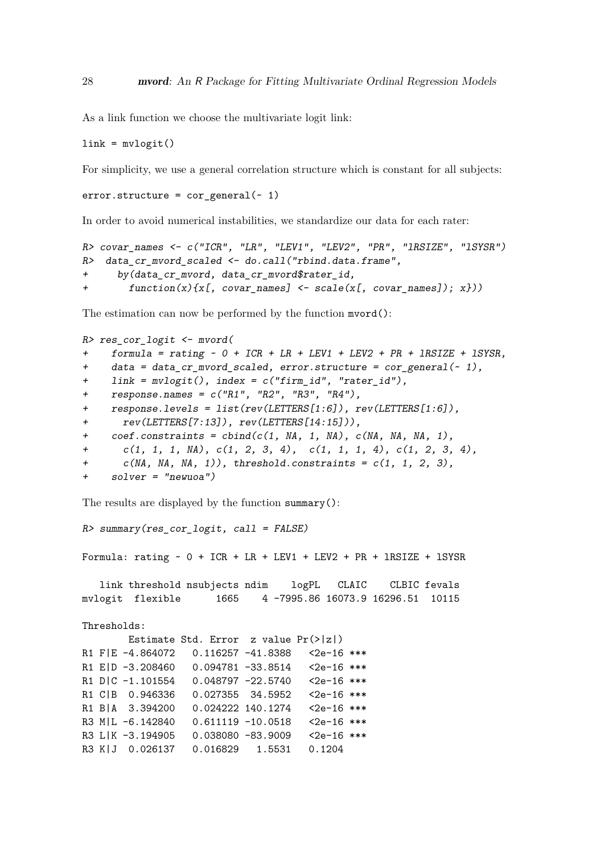As a link function we choose the multivariate logit link:

 $link = mvlogit()$ 

For simplicity, we use a general correlation structure which is constant for all subjects:

```
error.startucture = cor\_general(-1)
```
In order to avoid numerical instabilities, we standardize our data for each rater:

```
R> covar_names <- c("ICR", "LR", "LEV1", "LEV2", "PR", "lRSIZE", "lSYSR")
R> data_cr_mvord_scaled <- do.call("rbind.data.frame",
+ by(data_cr_mvord, data_cr_mvord$rater_id,
+ function(x){x[, covar_names] <- scale(x[, covar_names]); x}))
```
The estimation can now be performed by the function mvord():

```
R> res_cor_logit <- mvord(
+ formula = rating ~ 0 + ICR + LR + LEV1 + LEV2 + PR + lRSIZE + lSYSR,
+ data = data_cr_mvord_scaled, error.structure = cor_general(~ 1),
    + link = mvlogit(), index = c("firm_id", "rater_id"),
+ response.names = c("R1", "R2", "R3", "R4"),
+ response.levels = list(rev(LETTERS[1:6]), rev(LETTERS[1:6]),
+ rev(LETTERS[7:13]), rev(LETTERS[14:15])),
+ coef.constraints = cbind(c(1, NA, 1, NA), c(NA, NA, NA, 1),
+ c(1, 1, 1, NA), c(1, 2, 3, 4), c(1, 1, 1, 4), c(1, 2, 3, 4),
+ c(NA, NA, NA, 1)), threshold.constraints = c(1, 1, 2, 3),
+ solver = "newuoa")
```
The results are displayed by the function summary():

*R> summary(res\_cor\_logit, call = FALSE)* Formula:  $rating ~ 0 + ICR + LR + LEVI + LEV2 + PR + IRSIZE + ISYSR$ link threshold nsubjects ndim logPL CLAIC CLBIC fevals mvlogit flexible 1665 4 -7995.86 16073.9 16296.51 10115 Thresholds: Estimate Std. Error z value Pr(>|z|) R1 F|E -4.864072 0.116257 -41.8388 <2e-16 \*\*\* R1 E|D -3.208460 0.094781 -33.8514 <2e-16 \*\*\* R1 D|C -1.101554 0.048797 -22.5740 <2e-16 \*\*\* R1 C|B 0.946336 0.027355 34.5952 <2e-16 \*\*\* R1 B|A 3.394200 0.024222 140.1274 <2e-16 \*\*\* R3 M|L -6.142840 0.611119 -10.0518 <2e-16 \*\*\* R3 L|K -3.194905 0.038080 -83.9009 <2e-16 \*\*\* R3 K|J 0.026137 0.016829 1.5531 0.1204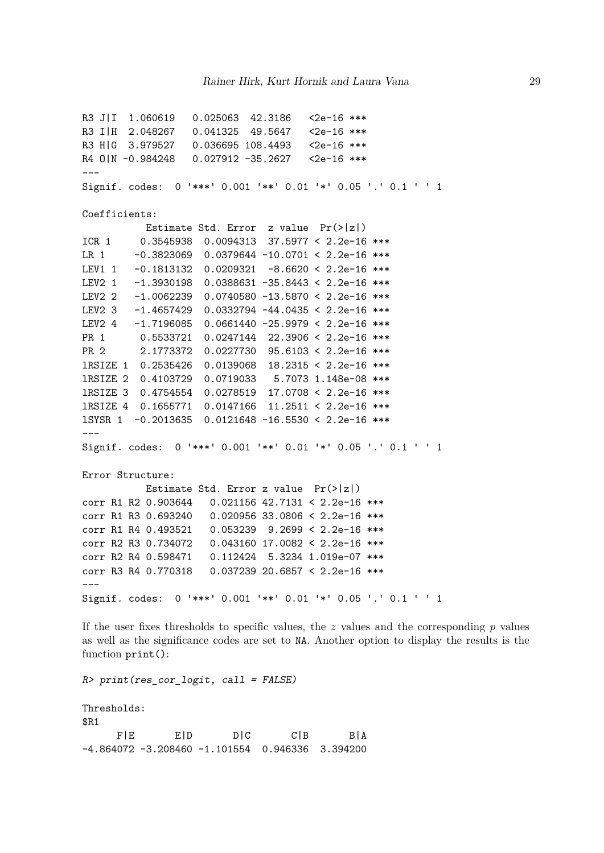```
R3 J|I 1.060619  0.025063  42.3186  <2e-16 ***
R3 I|H 2.048267 0.041325 49.5647 <2e-16 ***
R3 H|G 3.979527 0.036695 108.4493 <2e-16 ***
R4 0 | N - 0.984248 0.027912 - 35.2627 < 2e-16 ***
---
Signif. codes: 0 '***' 0.001 '**' 0.01 '*' 0.05 '.' 0.1 ' ' 1
Coefficients:
          Estimate Std. Error z value Pr(>|z|)
ICR 1 0.3545938 0.0094313 37.5977 < 2.2e-16 ***
LR 1 -0.3823069 0.0379644 -10.0701 < 2.2e-16 ***
LEV1 1 -0.1813132 0.0209321 -8.6620 < 2.2e-16 ***
LEV2 1 -1.3930198 0.0388631 -35.8443 < 2.2e-16 ***
LEV2 2 -1.0062239 0.0740580 -13.5870 < 2.2e-16 ***
LEV2 3 -1.4657429 0.0332794 -44.0435 < 2.2e-16 ***
LEV2 4 -1.7196085 0.0661440 -25.9979 < 2.2e-16 ***
PR 1 0.5533721 0.0247144 22.3906 < 2.2e-16 ***
PR 2 2.1773372 0.0227730 95.6103 < 2.2e-16 ***
lRSIZE 1 0.2535426 0.0139068 18.2315 < 2.2e-16 ***
lRSIZE 2 0.4103729 0.0719033 5.7073 1.148e-08 ***
lRSIZE 3 0.4754554 0.0278519 17.0708 < 2.2e-16 ***
lRSIZE 4 0.1655771 0.0147166 11.2511 < 2.2e-16 ***
lSYSR 1 -0.2013635 0.0121648 -16.5530 < 2.2e-16 ***
---
Signif. codes: 0 '***' 0.001 '**' 0.01 '*' 0.05 '.' 0.1 ' ' 1
Error Structure:
          Estimate Std. Error z value Pr(>|z|)
corr R1 R2 0.903644 0.021156 42.7131 < 2.2e-16 ***
corr R1 R3 0.693240 0.020956 33.0806 < 2.2e-16 ***
corr R1 R4 0.493521 0.053239 9.2699 < 2.2e-16 ***
corr R2 R3 0.734072 0.043160 17.0082 < 2.2e-16 ***
corr R2 R4 0.598471 0.112424 5.3234 1.019e-07 ***
corr R3 R4 0.770318 0.037239 20.6857 < 2.2e-16 ***
---Signif. codes: 0 '***' 0.001 '**' 0.01 '*' 0.05 '.' 0.1 ' ' 1
```
If the user fixes thresholds to specific values, the  $z$  values and the corresponding  $p$  values as well as the significance codes are set to NA. Another option to display the results is the function print():

*R> print(res\_cor\_logit, call = FALSE)*

Thresholds: \$R1 F|E E|D D|C C|B B|A -4.864072 -3.208460 -1.101554 0.946336 3.394200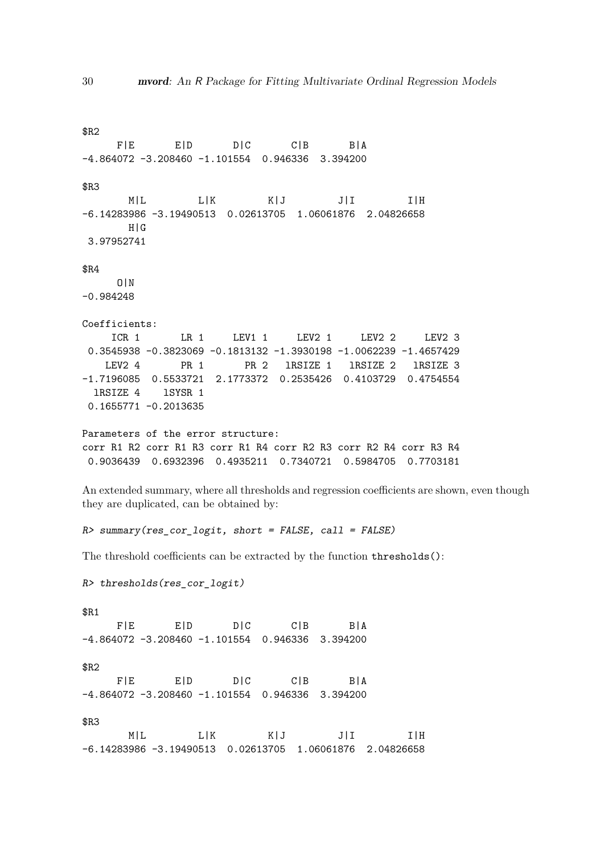\$R2 F|E E|D D|C C|B B|A -4.864072 -3.208460 -1.101554 0.946336 3.394200 \$R3 M|L L|K K|J J|I I|H -6.14283986 -3.19490513 0.02613705 1.06061876 2.04826658 H|G 3.97952741 \$R4 O|N -0.984248 Coefficients: ICR 1 LR 1 LEV1 1 LEV2 1 LEV2 2 LEV2 3 0.3545938 -0.3823069 -0.1813132 -1.3930198 -1.0062239 -1.4657429 LEV2 4 PR 1 PR 2 lRSIZE 1 lRSIZE 2 lRSIZE 3 -1.7196085 0.5533721 2.1773372 0.2535426 0.4103729 0.4754554 lRSIZE 4 lSYSR 1 0.1655771 -0.2013635 Parameters of the error structure: corr R1 R2 corr R1 R3 corr R1 R4 corr R2 R3 corr R2 R4 corr R3 R4 0.9036439 0.6932396 0.4935211 0.7340721 0.5984705 0.7703181 An extended summary, where all thresholds and regression coefficients are shown, even though they are duplicated, can be obtained by: *R> summary(res\_cor\_logit, short = FALSE, call = FALSE)* The threshold coefficients can be extracted by the function thresholds(): *R> thresholds(res\_cor\_logit)* \$R1 F|E E|D D|C C|B B|A -4.864072 -3.208460 -1.101554 0.946336 3.394200 \$R2 F|E E|D D|C C|B B|A -4.864072 -3.208460 -1.101554 0.946336 3.394200 \$R3 M|L L|K K|J J|I I|H -6.14283986 -3.19490513 0.02613705 1.06061876 2.04826658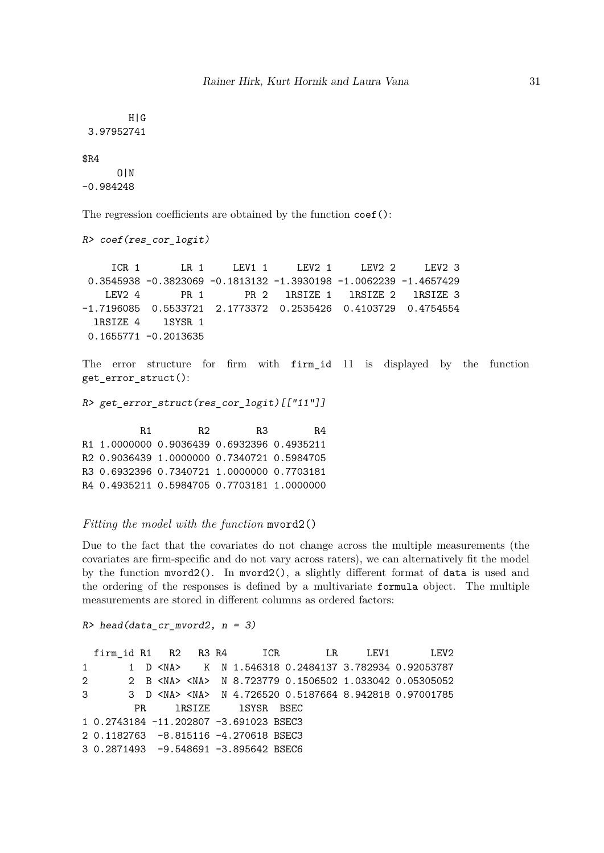H|G 3.97952741

#### \$R4

O|N -0.984248

The regression coefficients are obtained by the function coef():

```
R> coef(res_cor_logit)
```
ICR 1 LR 1 LEV1 1 LEV2 1 LEV2 2 LEV2 3 0.3545938 -0.3823069 -0.1813132 -1.3930198 -1.0062239 -1.4657429 LEV2 4 PR 1 PR 2 1RSIZE 1 1RSIZE 2 1RSIZE 3 -1.7196085 0.5533721 2.1773372 0.2535426 0.4103729 0.4754554 lRSIZE 4 lSYSR 1 0.1655771 -0.2013635

The error structure for firm with firm\_id 11 is displayed by the function get\_error\_struct():

*R> get\_error\_struct(res\_cor\_logit)[["11"]]*

R1 R2 R3 R4 R1 1.0000000 0.9036439 0.6932396 0.4935211 R2 0.9036439 1.0000000 0.7340721 0.5984705 R3 0.6932396 0.7340721 1.0000000 0.7703181 R4 0.4935211 0.5984705 0.7703181 1.0000000

#### *Fitting the model with the function* mvord2()

Due to the fact that the covariates do not change across the multiple measurements (the covariates are firm-specific and do not vary across raters), we can alternatively fit the model by the function mvord2(). In mvord2(), a slightly different format of data is used and the ordering of the responses is defined by a multivariate formula object. The multiple measurements are stored in different columns as ordered factors:

```
R> head(data_cr_mvord2, n = 3)
```
firm id R1 R2 R3 R4 ICR LR LEV1 LEV2 1 1 D <NA> K N 1.546318 0.2484137 3.782934 0.92053787 2 2 B <NA> <NA> N 8.723779 0.1506502 1.033042 0.05305052 3 3 D <NA> <NA> N 4.726520 0.5187664 8.942818 0.97001785 PR **lRSIZE lSYSR** BSEC 1 0.2743184 -11.202807 -3.691023 BSEC3 2 0.1182763 -8.815116 -4.270618 BSEC3 3 0.2871493 -9.548691 -3.895642 BSEC6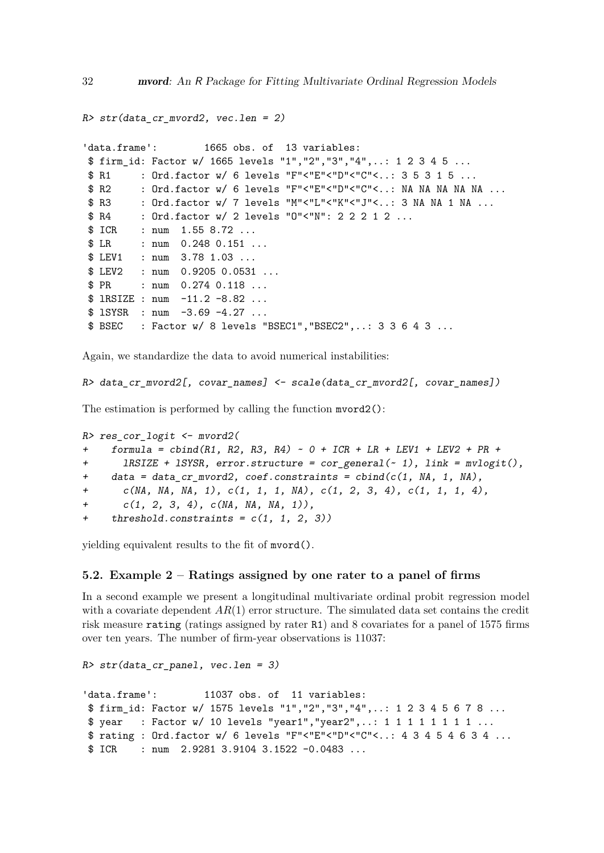```
R> str(data_cr_mvord2, vec.len = 2)
'data.frame': 1665 obs. of 13 variables:
$ firm_id: Factor w/ 1665 levels "1","2","3","4",..: 1 2 3 4 5 ...
$ R1 : Ord.factor w/ 6 levels "F"<"E"<"D"<"C"<..: 3 5 3 1 5 ...
$ R2 : Ord.factor w/ 6 levels "F"<"E"<"D"<"C"<..: NA NA NA NA NA ...
$ R3 : Ord.factor w/ 7 levels "M"<"L"<"K"<"J"<..: 3 NA NA 1 NA ...
$ R4 : Ord.factor w/ 2 levels "0"<"N": 2 2 2 1 2 ...
$ ICR : num 1.55 8.72 ...
$ LR : num 0.248 0.151 ...
$ LEV1 : num 3.78 1.03 ...
$ LEV2 : num  0.9205 0.0531 ...
$ PR : num 0.274 0.118 ...
$ lRSIZE : num -11.2 -8.82 ...
$ lSYSR : num -3.69 -4.27 ...
$ BSEC : Factor w/ 8 levels "BSEC1","BSEC2",..: 3 3 6 4 3 ...
```
Again, we standardize the data to avoid numerical instabilities:

```
R> data_cr_mvord2[, covar_names] <- scale(data_cr_mvord2[, covar_names])
```
The estimation is performed by calling the function mvord2():

```
R> res_cor_logit <- mvord2(
+ formula = cbind(R1, R2, R3, R4) ~ 0 + ICR + LR + LEV1 + LEV2 + PR +
+ lRSIZE + lSYSR, error.structure = cor_general(~ 1), link = mvlogit(),
+ data = data_cr_mvord2, coef.constraints = cbind(c(1, NA, 1, NA),
+ c(NA, NA, NA, 1), c(1, 1, 1, NA), c(1, 2, 3, 4), c(1, 1, 1, 4),
+ c(1, 2, 3, 4), c(NA, NA, NA, 1)),
+ threshold.constraints = c(1, 1, 2, 3))
```
yielding equivalent results to the fit of mvord().

# **5.2. Example 2 – Ratings assigned by one rater to a panel of firms**

In a second example we present a longitudinal multivariate ordinal probit regression model with a covariate dependent  $AR(1)$  error structure. The simulated data set contains the credit risk measure rating (ratings assigned by rater R1) and 8 covariates for a panel of 1575 firms over ten years. The number of firm-year observations is 11037:

```
R> str(data_cr_panel, vec.len = 3)
'data.frame': 11037 obs. of 11 variables:
$ firm_id: Factor w/ 1575 levels "1","2","3","4",..: 1 2 3 4 5 6 7 8 ...
$ year : Factor w/ 10 levels "year1","year2",..: 1 1 1 1 1 1 1 1 ...
$ rating : Ord.factor w/ 6 levels "F"<"E"<"D"<"C"<..: 4 3 4 5 4 6 3 4 ...
$ ICR : num  2.9281 3.9104 3.1522 -0.0483 ...
```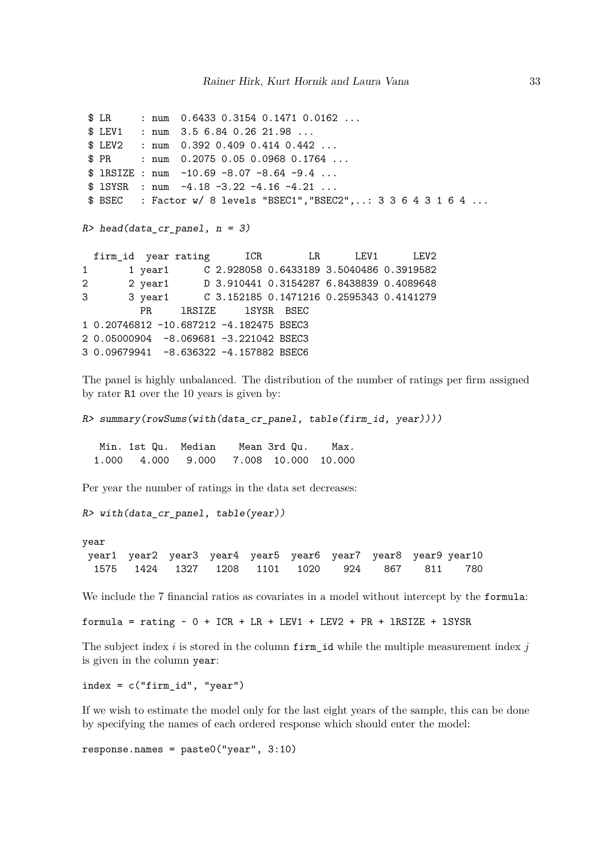```
$ LR : num 0.6433 0.3154 0.1471 0.0162 ...
$ LEV1 : num 3.5 6.84 0.26 21.98 ...
$ LEV2 : num 0.392 0.409 0.414 0.442 ...
$ PR : num 0.2075 0.05 0.0968 0.1764 ...
$ lRSIZE : num -10.69 -8.07 -8.64 -9.4 ...
$ lSYSR : num -4.18 -3.22 -4.16 -4.21 ...
$ BSEC : Factor w/ 8 levels "BSEC1","BSEC2",..: 3 3 6 4 3 1 6 4 ...
R> head(data_cr_panel, n = 3)
 firm_id year rating 1CR LR LEV1 LEV2
1 1 year1 C 2.928058 0.6433189 3.5040486 0.3919582
2 2 year1 D 3.910441 0.3154287 6.8438839 0.4089648
3 3 year1 C 3.152185 0.1471216 0.2595343 0.4141279
        PR 1RSIZE 1SYSR BSEC
1 0.20746812 -10.687212 -4.182475 BSEC3
2 0.05000904 -8.069681 -3.221042 BSEC3
3 0.09679941 -8.636322 -4.157882 BSEC6
```
The panel is highly unbalanced. The distribution of the number of ratings per firm assigned by rater R1 over the 10 years is given by:

```
R> summary(rowSums(with(data_cr_panel, table(firm_id, year))))
```
Min. 1st Qu. Median Mean 3rd Qu. Max. 1.000 4.000 9.000 7.008 10.000 10.000

Per year the number of ratings in the data set decreases:

```
R> with(data_cr_panel, table(year))
```
year year1 year2 year3 year4 year5 year6 year7 year8 year9 year10 1575 1424 1327 1208 1101 1020 924 867 811 780

We include the 7 financial ratios as covariates in a model without intercept by the formula:

formula = rating  $\sim$  0 + ICR + LR + LEV1 + LEV2 + PR + lRSIZE + lSYSR

The subject index *i* is stored in the column firm\_id while the multiple measurement index *j* is given in the column year:

 $index = c("firm_id", "year")$ 

If we wish to estimate the model only for the last eight years of the sample, this can be done by specifying the names of each ordered response which should enter the model:

response.names = paste0("year", 3:10)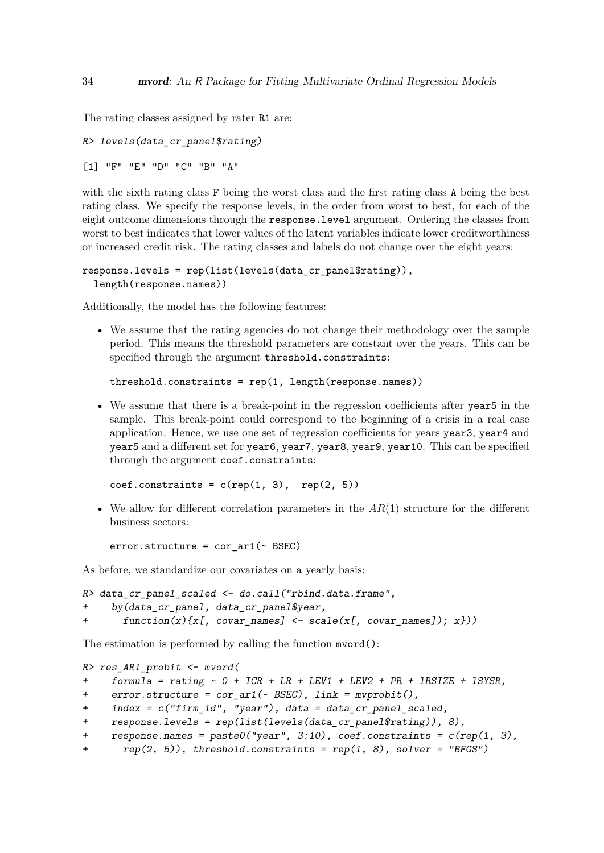The rating classes assigned by rater R1 are:

```
R> levels(data_cr_panel$rating)
[1] "F" "E" "D" "C" "B" "A"
```
with the sixth rating class F being the worst class and the first rating class A being the best rating class. We specify the response levels, in the order from worst to best, for each of the eight outcome dimensions through the response.level argument. Ordering the classes from worst to best indicates that lower values of the latent variables indicate lower creditworthiness or increased credit risk. The rating classes and labels do not change over the eight years:

```
response.levels = rep(list(levels(data_cr_panel$rating)),
  length(response.names))
```
Additionally, the model has the following features:

• We assume that the rating agencies do not change their methodology over the sample period. This means the threshold parameters are constant over the years. This can be specified through the argument threshold.constraints:

threshold.constraints = rep(1, length(response.names))

• We assume that there is a break-point in the regression coefficients after year5 in the sample. This break-point could correspond to the beginning of a crisis in a real case application. Hence, we use one set of regression coefficients for years year3, year4 and year5 and a different set for year6, year7, year8, year9, year10. This can be specified through the argument coef.constraints:

 $coef.$ constraints =  $c(rep(1, 3), rep(2, 5))$ 

• We allow for different correlation parameters in the *AR*(1) structure for the different business sectors:

 $error.startur = cor_arr1$  ( $\sim BSEC$ )

As before, we standardize our covariates on a yearly basis:

```
R> data_cr_panel_scaled <- do.call("rbind.data.frame",
    + by(data_cr_panel, data_cr_panel$year,
+ function(x){x[, covar_names] <- scale(x[, covar_names]); x}))
```
The estimation is performed by calling the function mvord():

```
R> res_AR1_probit <- mvord(
+ formula = rating ~ 0 + ICR + LR + LEV1 + LEV2 + PR + lRSIZE + lSYSR,
+ error.structure = cor_ar1(~ BSEC), link = mvprobit(),
+ index = c("firm_id", "year"), data = data_cr_panel_scaled,
    + response.levels = rep(list(levels(data_cr_panel$rating)), 8),
+ response.names = paste0("year", 3:10), coef.constraints = c(rep(1, 3),
+ rep(2, 5)), threshold.constraints = rep(1, 8), solver = "BFGS")
```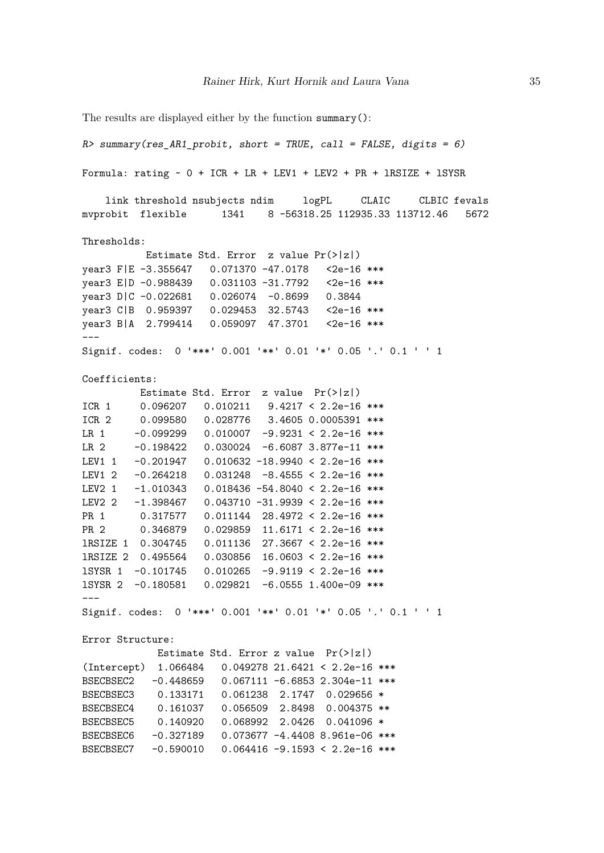```
The results are displayed either by the function summary():
R> summary(res_AR1_probit, short = TRUE, call = FALSE, digits = 6)
Formula: rating ~ 0 + ICR + LR + LEV1 + LEV2 + PR + 1RSIZE + 1SYSRlink threshold nsubjects ndim logPL CLAIC CLBIC fevals
mvprobit flexible 1341 8 -56318.25 112935.33 113712.46 5672
Thresholds:
          Estimate Std. Error z value Pr(>|z|)
year3 F|E -3.355647 0.071370 -47.0178 <2e-16 ***
year3 E|D -0.988439  0.031103 -31.7792  <2e-16 ***
year3 D|C -0.022681 0.026074 -0.8699 0.3844
year3 C|B 0.959397 0.029453 32.5743 <2e-16 ***
year3 B|A 2.799414 0.059097 47.3701 <2e-16 ***
---Signif. codes: 0 '***' 0.001 '**' 0.01 '*' 0.05 '.' 0.1 ' ' 1
Coefficients:
         Estimate Std. Error z value Pr(>|z|)ICR 1 0.096207 0.010211 9.4217 < 2.2e-16 ***
ICR 2 0.099580 0.028776 3.4605 0.0005391 ***
LR 1 -0.099299 0.010007 -9.9231 < 2.2e-16 ***
LR 2 -0.198422 0.030024 -6.6087 3.877e-11 ***
LEV1 1 -0.201947 0.010632 -18.9940 < 2.2e-16 ***
LEV1 2 -0.264218 0.031248 -8.4555 < 2.2e-16 ***
LEV2 1 -1.010343 0.018436 -54.8040 < 2.2e-16 ***
LEV2 2 -1.398467 0.043710 -31.9939 < 2.2e-16 ***
PR 1 0.317577 0.011144 28.4972 < 2.2e-16 ***
PR 2 0.346879 0.029859 11.6171 < 2.2e-16 ***
lRSIZE 1 0.304745 0.011136 27.3667 < 2.2e-16 ***
lRSIZE 2 0.495564 0.030856 16.0603 < 2.2e-16 ***
lSYSR 1 -0.101745 0.010265 -9.9119 < 2.2e-16 ***
lSYSR 2 -0.180581 0.029821 -6.0555 1.400e-09 ***
---
Signif. codes: 0 '***' 0.001 '**' 0.01 '*' 0.05 '.' 0.1 ' ' 1
Error Structure:
            Estimate Std. Error z value Pr(>|z|)(Intercept) 1.066484 0.049278 21.6421 < 2.2e-16 ***
BSECBSEC2 -0.448659 0.067111 -6.6853 2.304e-11 ***
BSECBSEC3 0.133171 0.061238 2.1747 0.029656 *
BSECBSEC4 0.161037 0.056509 2.8498 0.004375 **
BSECBSEC5 0.140920 0.068992 2.0426 0.041096 *
BSECBSEC6 -0.327189 0.073677 -4.4408 8.961e-06 ***
BSECBSEC7 -0.590010 0.064416 -9.1593 < 2.2e-16 ***
```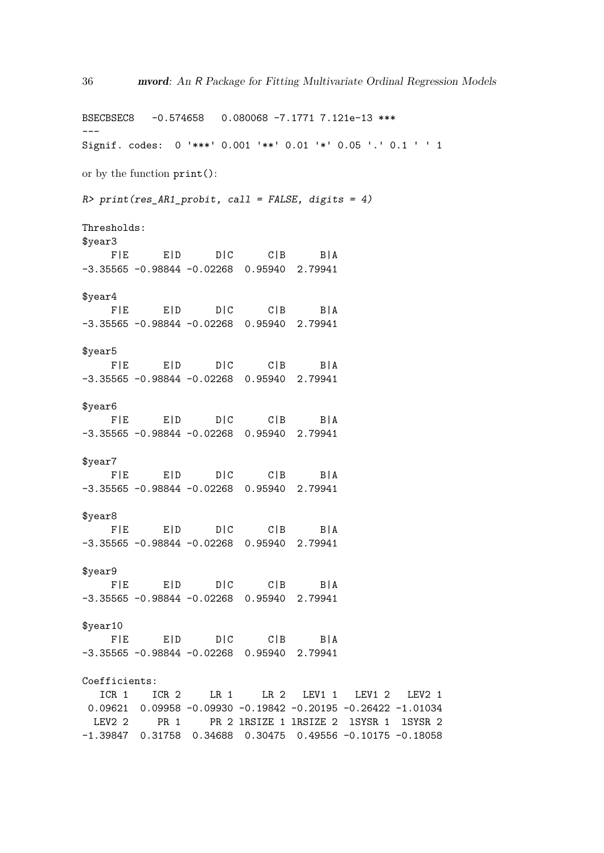BSECBSEC8 -0.574658 0.080068 -7.1771 7.121e-13 \*\*\* --- Signif. codes: 0 '\*\*\*' 0.001 '\*\*' 0.01 '\*' 0.05 '.' 0.1 ' ' 1 or by the function print(): *R> print(res\_AR1\_probit, call = FALSE, digits = 4)* Thresholds: \$year3 F|E E|D D|C C|B B|A -3.35565 -0.98844 -0.02268 0.95940 2.79941 \$year4 F|E E|D D|C C|B B|A -3.35565 -0.98844 -0.02268 0.95940 2.79941 \$year5 F|E E|D D|C C|B B|A -3.35565 -0.98844 -0.02268 0.95940 2.79941 \$year6 F|E E|D D|C C|B B|A -3.35565 -0.98844 -0.02268 0.95940 2.79941 \$year7 F|E E|D D|C C|B B|A -3.35565 -0.98844 -0.02268 0.95940 2.79941 \$year8 F|E E|D D|C C|B B|A -3.35565 -0.98844 -0.02268 0.95940 2.79941 \$year9 F|E E|D D|C C|B B|A -3.35565 -0.98844 -0.02268 0.95940 2.79941 \$year10 F|E E|D D|C C|B B|A -3.35565 -0.98844 -0.02268 0.95940 2.79941 Coefficients: ICR 1 ICR 2 LR 1 LR 2 LEV1 1 LEV1 2 LEV2 1 0.09621 0.09958 -0.09930 -0.19842 -0.20195 -0.26422 -1.01034 LEV2 2 PR 1 PR 2 1RSIZE 1 1RSIZE 2 1SYSR 1 1SYSR 2 -1.39847 0.31758 0.34688 0.30475 0.49556 -0.10175 -0.18058

36 mvord: An R Package for Fitting Multivariate Ordinal Regression Models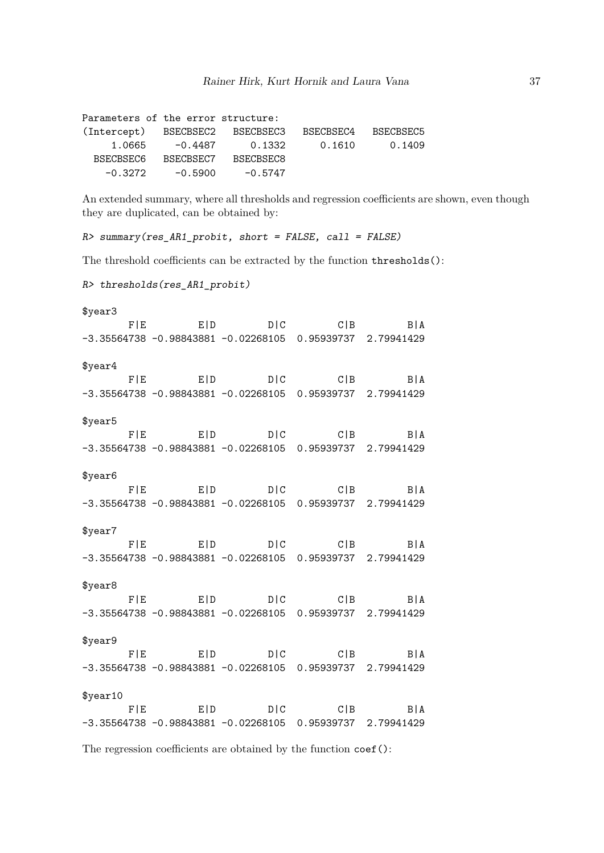| Parameters of the error structure: |           |           |           |           |
|------------------------------------|-----------|-----------|-----------|-----------|
| (Intercept) BSECBSEC2 BSECBSEC3    |           |           | BSECBSEC4 | BSECBSEC5 |
| 1.0665                             | -0.4487   | 0.1332    | 0.1610    | 0.1409    |
| BSECBSEC6                          | BSECBSEC7 | BSECBSEC8 |           |           |
| $-0.3272$                          | $-0.5900$ | $-0.5747$ |           |           |

An extended summary, where all thresholds and regression coefficients are shown, even though they are duplicated, can be obtained by:

*R> summary(res\_AR1\_probit, short = FALSE, call = FALSE)*

The threshold coefficients can be extracted by the function thresholds():

```
R> thresholds(res_AR1_probit)
```

| \$year3  |                                                               |  |
|----------|---------------------------------------------------------------|--|
|          | $F E$ $E D$ $D C$ $C B$ $B A$                                 |  |
|          | $-3.35564738 - 0.98843881 - 0.02268105$ 0.95939737 2.79941429 |  |
| \$year4  |                                                               |  |
|          | $F E$ $E D$ $D C$ $C B$ $B A$                                 |  |
|          | $-3.35564738 -0.98843881 -0.02268105 0.95939737 2.79941429$   |  |
| \$year5  |                                                               |  |
|          | $F E$ $E D$ $D C$ $C B$ $B A$                                 |  |
|          | $-3.35564738 -0.98843881 -0.02268105 0.95939737 2.79941429$   |  |
| \$year6  |                                                               |  |
|          | $F E$ $E D$ $D C$ $C B$ $B A$                                 |  |
|          | $-3.35564738 -0.98843881 -0.02268105 0.95939737 2.79941429$   |  |
| \$year7  |                                                               |  |
|          | $F E$ $E D$ $D C$ $C B$ $B A$                                 |  |
|          | $-3.35564738 -0.98843881 -0.02268105 0.95939737 2.79941429$   |  |
| \$year8  |                                                               |  |
|          | $F E$ $E D$ $D C$ $C B$ $B A$                                 |  |
|          | $-3.35564738 - 0.98843881 - 0.02268105$ 0.95939737 2.79941429 |  |
| \$year9  |                                                               |  |
|          | $F E$ $E D$ $D C$ $C B$ $B A$                                 |  |
|          | $-3.35564738 - 0.98843881 - 0.02268105$ 0.95939737 2.79941429 |  |
| \$year10 |                                                               |  |
|          | $F E$ $E D$ $D C$ $C B$ $B A$                                 |  |
|          | $-3.35564738 -0.98843881 -0.02268105 0.95939737 2.79941429$   |  |

The regression coefficients are obtained by the function coef():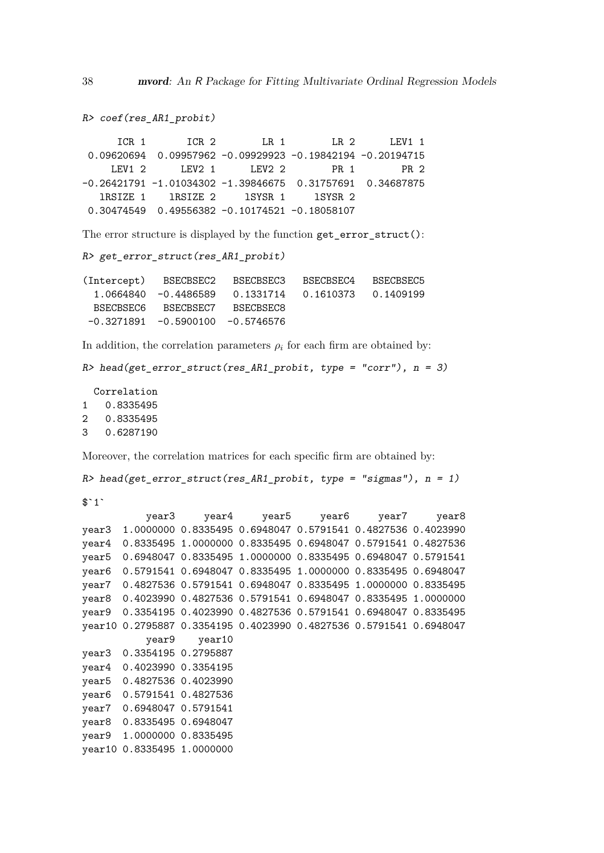```
R> coef(res_AR1_probit)
      ICR 1 ICR 2 LR 1 LR 2 LEV1 1
 0.09620694 0.09957962 -0.09929923 -0.19842194 -0.20194715
    LEV1 2    LEV2 1    LEV2 2    PR 1    PR 2
-0.26421791 -1.01034302 -1.39846675 0.31757691 0.34687875
  lRSIZE 1 lRSIZE 2 lSYSR 1 lSYSR 2
 0.30474549 0.49556382 -0.10174521 -0.18058107
The error structure is displayed by the function get error struct():
R> get_error_struct(res_AR1_probit)
(Intercept) BSECBSEC2 BSECBSEC3 BSECBSEC4 BSECBSEC5
  1.0664840 -0.4486589 0.1331714 0.1610373 0.1409199
  BSECBSEC6 BSECBSEC7 BSECBSEC8
 -0.3271891 -0.5900100 -0.5746576In addition, the correlation parameters \rho_i for each firm are obtained by:
R> head(get_error_struct(res_AR1_probit, type = "corr"), n = 3)
  Correlation
1 0.8335495
2 0.8335495
3 0.6287190
Moreover, the correlation matrices for each specific firm are obtained by:
```

```
R> head(get error struct(res AR1 probit, type = "sigmas"), n = 1)
```
 $$^{\text{-}}1^{\text{-}}$ 

```
year3 year4 year5 year6 year7 year8
year3 1.0000000 0.8335495 0.6948047 0.5791541 0.4827536 0.4023990
year4 0.8335495 1.0000000 0.8335495 0.6948047 0.5791541 0.4827536
year5 0.6948047 0.8335495 1.0000000 0.8335495 0.6948047 0.5791541
year6 0.5791541 0.6948047 0.8335495 1.0000000 0.8335495 0.6948047
year7 0.4827536 0.5791541 0.6948047 0.8335495 1.0000000 0.8335495
year8 0.4023990 0.4827536 0.5791541 0.6948047 0.8335495 1.0000000
year9 0.3354195 0.4023990 0.4827536 0.5791541 0.6948047 0.8335495
year10 0.2795887 0.3354195 0.4023990 0.4827536 0.5791541 0.6948047
          year9 year10
year3 0.3354195 0.2795887
year4 0.4023990 0.3354195
year5 0.4827536 0.4023990
year6 0.5791541 0.4827536
year7 0.6948047 0.5791541
year8 0.8335495 0.6948047
year9 1.0000000 0.8335495
year10 0.8335495 1.0000000
```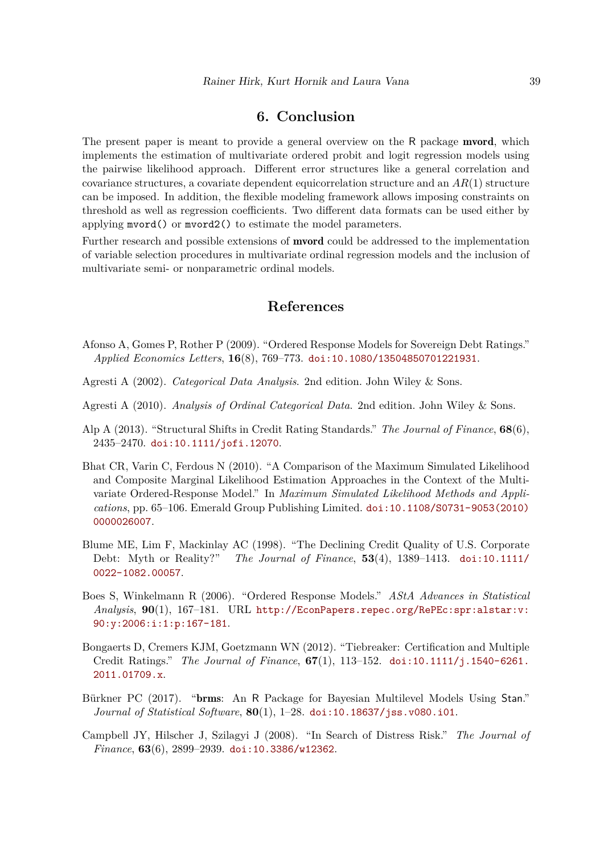# **6. Conclusion**

<span id="page-38-6"></span>The present paper is meant to provide a general overview on the R package **mvord**, which implements the estimation of multivariate ordered probit and logit regression models using the pairwise likelihood approach. Different error structures like a general correlation and covariance structures, a covariate dependent equicorrelation structure and an *AR*(1) structure can be imposed. In addition, the flexible modeling framework allows imposing constraints on threshold as well as regression coefficients. Two different data formats can be used either by applying mvord() or mvord2() to estimate the model parameters.

Further research and possible extensions of mvord could be addressed to the implementation of variable selection procedures in multivariate ordinal regression models and the inclusion of multivariate semi- or nonparametric ordinal models.

# **References**

- <span id="page-38-4"></span>Afonso A, Gomes P, Rother P (2009). "Ordered Response Models for Sovereign Debt Ratings." *Applied Economics Letters*, **16**(8), 769–773. [doi:10.1080/13504850701221931](http://dx.doi.org/10.1080/13504850701221931).
- <span id="page-38-0"></span>Agresti A (2002). *Categorical Data Analysis*. 2nd edition. John Wiley & Sons.
- <span id="page-38-1"></span>Agresti A (2010). *Analysis of Ordinal Categorical Data*. 2nd edition. John Wiley & Sons.
- <span id="page-38-5"></span>Alp A (2013). "Structural Shifts in Credit Rating Standards." *The Journal of Finance*, **68**(6), 2435–2470. [doi:10.1111/jofi.12070](http://dx.doi.org/10.1111/jofi.12070).
- <span id="page-38-8"></span>Bhat CR, Varin C, Ferdous N (2010). "A Comparison of the Maximum Simulated Likelihood and Composite Marginal Likelihood Estimation Approaches in the Context of the Multivariate Ordered-Response Model." In *Maximum Simulated Likelihood Methods and Applications*, pp. 65–106. Emerald Group Publishing Limited. [doi:10.1108/S0731-9053\(2010\)](http://dx.doi.org/10.1108/S0731-9053(2010)0000026007) [0000026007](http://dx.doi.org/10.1108/S0731-9053(2010)0000026007).
- <span id="page-38-3"></span>Blume ME, Lim F, Mackinlay AC (1998). "The Declining Credit Quality of U.S. Corporate Debt: Myth or Reality?" *The Journal of Finance*, **53**(4), 1389–1413. [doi:10.1111/](http://dx.doi.org/10.1111/0022-1082.00057) [0022-1082.00057](http://dx.doi.org/10.1111/0022-1082.00057).
- <span id="page-38-7"></span>Boes S, Winkelmann R (2006). "Ordered Response Models." *AStA Advances in Statistical Analysis*, **90**(1), 167–181. URL [http://EconPapers.repec.org/RePEc:spr:alstar:v:](http://EconPapers.repec.org/RePEc:spr:alstar:v:90:y:2006:i:1:p:167-181) [90:y:2006:i:1:p:167-181](http://EconPapers.repec.org/RePEc:spr:alstar:v:90:y:2006:i:1:p:167-181).
- <span id="page-38-10"></span>Bongaerts D, Cremers KJM, Goetzmann WN (2012). "Tiebreaker: Certification and Multiple Credit Ratings." *The Journal of Finance*, **67**(1), 113–152. [doi:10.1111/j.1540-6261.](http://dx.doi.org/10.1111/j.1540-6261.2011.01709.x) [2011.01709.x](http://dx.doi.org/10.1111/j.1540-6261.2011.01709.x).
- <span id="page-38-2"></span>Bürkner PC (2017). "brms: An R Package for Bayesian Multilevel Models Using Stan." *Journal of Statistical Software*, **80**(1), 1–28. [doi:10.18637/jss.v080.i01](http://dx.doi.org/10.18637/jss.v080.i01).
- <span id="page-38-9"></span>Campbell JY, Hilscher J, Szilagyi J (2008). "In Search of Distress Risk." *The Journal of Finance*, **63**(6), 2899–2939. [doi:10.3386/w12362](http://dx.doi.org/10.3386/w12362).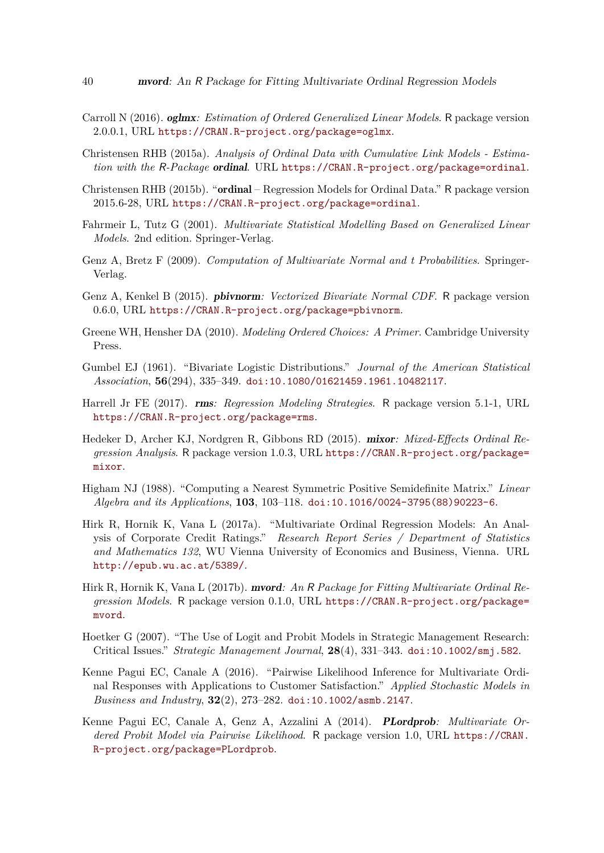- <span id="page-39-3"></span>Carroll N (2016). oglmx*: Estimation of Ordered Generalized Linear Models*. R package version 2.0.0.1, URL <https://CRAN.R-project.org/package=oglmx>.
- <span id="page-39-1"></span>Christensen RHB (2015a). *Analysis of Ordinal Data with Cumulative Link Models - Estimation with the* R*-Package* ordinal. URL <https://CRAN.R-project.org/package=ordinal>.
- <span id="page-39-2"></span>Christensen RHB (2015b). "ordinal – Regression Models for Ordinal Data." R package version 2015.6-28, URL <https://CRAN.R-project.org/package=ordinal>.
- <span id="page-39-0"></span>Fahrmeir L, Tutz G (2001). *Multivariate Statistical Modelling Based on Generalized Linear Models*. 2nd edition. Springer-Verlag.
- <span id="page-39-14"></span>Genz A, Bretz F (2009). *Computation of Multivariate Normal and t Probabilities*. Springer-Verlag.
- <span id="page-39-13"></span>Genz A, Kenkel B (2015). pbivnorm*: Vectorized Bivariate Normal CDF*. R package version 0.6.0, URL <https://CRAN.R-project.org/package=pbivnorm>.
- <span id="page-39-11"></span>Greene WH, Hensher DA (2010). *Modeling Ordered Choices: A Primer*. Cambridge University Press.
- <span id="page-39-9"></span>Gumbel EJ (1961). "Bivariate Logistic Distributions." *Journal of the American Statistical Association*, **56**(294), 335–349. [doi:10.1080/01621459.1961.10482117](http://dx.doi.org/10.1080/01621459.1961.10482117).
- <span id="page-39-4"></span>Harrell Jr FE (2017). rms*: Regression Modeling Strategies*. R package version 5.1-1, URL <https://CRAN.R-project.org/package=rms>.
- <span id="page-39-5"></span>Hedeker D, Archer KJ, Nordgren R, Gibbons RD (2015). mixor*: Mixed-Effects Ordinal Regression Analysis*. R package version 1.0.3, URL [https://CRAN.R-project.org/package=](https://CRAN.R-project.org/package=mixor) [mixor](https://CRAN.R-project.org/package=mixor).
- <span id="page-39-10"></span>Higham NJ (1988). "Computing a Nearest Symmetric Positive Semidefinite Matrix." *Linear Algebra and its Applications*, **103**, 103–118. [doi:10.1016/0024-3795\(88\)90223-6](http://dx.doi.org/10.1016/0024-3795(88)90223-6).
- <span id="page-39-8"></span>Hirk R, Hornik K, Vana L (2017a). "Multivariate Ordinal Regression Models: An Analysis of Corporate Credit Ratings." *Research Report Series / Department of Statistics and Mathematics 132*, WU Vienna University of Economics and Business, Vienna. URL <http://epub.wu.ac.at/5389/>.
- <span id="page-39-7"></span>Hirk R, Hornik K, Vana L (2017b). mvord*: An* R *Package for Fitting Multivariate Ordinal Regression Models*. R package version 0.1.0, URL [https://CRAN.R-project.org/package=](https://CRAN.R-project.org/package=mvord) [mvord](https://CRAN.R-project.org/package=mvord).
- <span id="page-39-12"></span>Hoetker G (2007). "The Use of Logit and Probit Models in Strategic Management Research: Critical Issues." *Strategic Management Journal*, **28**(4), 331–343. [doi:10.1002/smj.582](http://dx.doi.org/10.1002/smj.582).
- <span id="page-39-15"></span>Kenne Pagui EC, Canale A (2016). "Pairwise Likelihood Inference for Multivariate Ordinal Responses with Applications to Customer Satisfaction." *Applied Stochastic Models in Business and Industry*, **32**(2), 273–282. [doi:10.1002/asmb.2147](http://dx.doi.org/10.1002/asmb.2147).
- <span id="page-39-6"></span>Kenne Pagui EC, Canale A, Genz A, Azzalini A (2014). PLordprob*: Multivariate Ordered Probit Model via Pairwise Likelihood*. R package version 1.0, URL [https://CRAN.](https://CRAN.R-project.org/package=PLordprob) [R-project.org/package=PLordprob](https://CRAN.R-project.org/package=PLordprob).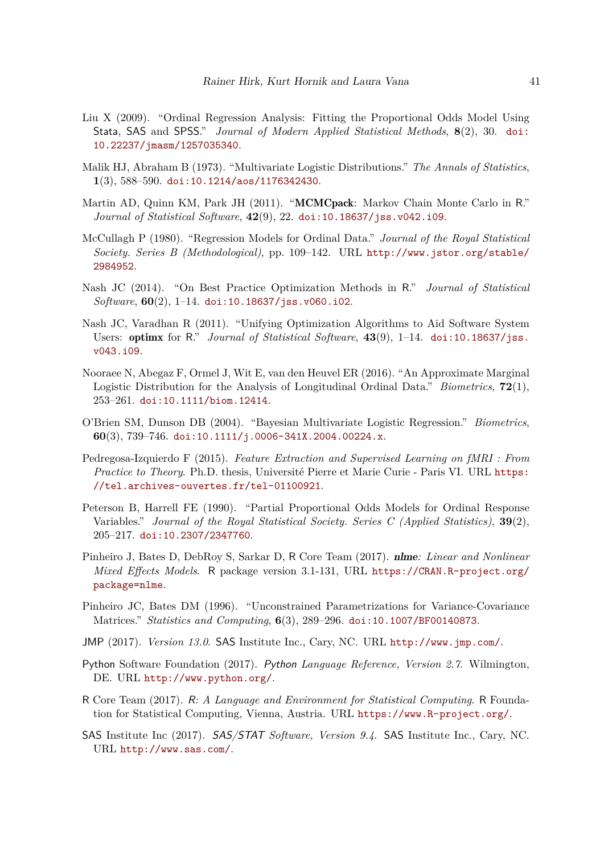- <span id="page-40-3"></span>Liu X (2009). "Ordinal Regression Analysis: Fitting the Proportional Odds Model Using Stata, SAS and SPSS." *Journal of Modern Applied Statistical Methods*, **8**(2), 30. [doi:](http://dx.doi.org/10.22237/jmasm/1257035340) [10.22237/jmasm/1257035340](http://dx.doi.org/10.22237/jmasm/1257035340).
- <span id="page-40-12"></span>Malik HJ, Abraham B (1973). "Multivariate Logistic Distributions." *The Annals of Statistics*, **1**(3), 588–590. [doi:10.1214/aos/1176342430](http://dx.doi.org/10.1214/aos/1176342430).
- <span id="page-40-1"></span>Martin AD, Quinn KM, Park JH (2011). "MCMCpack: Markov Chain Monte Carlo in R." *Journal of Statistical Software*, **42**(9), 22. [doi:10.18637/jss.v042.i09](http://dx.doi.org/10.18637/jss.v042.i09).
- <span id="page-40-8"></span>McCullagh P (1980). "Regression Models for Ordinal Data." *Journal of the Royal Statistical Society. Series B (Methodological)*, pp. 109–142. URL [http://www.jstor.org/stable/](http://www.jstor.org/stable/2984952) [2984952](http://www.jstor.org/stable/2984952).
- <span id="page-40-15"></span>Nash JC (2014). "On Best Practice Optimization Methods in R." *Journal of Statistical Software*, **60**(2), 1–14. [doi:10.18637/jss.v060.i02](http://dx.doi.org/10.18637/jss.v060.i02).
- <span id="page-40-14"></span>Nash JC, Varadhan R (2011). "Unifying Optimization Algorithms to Aid Software System Users: optimx for R." *Journal of Statistical Software*, **43**(9), 1–14. [doi:10.18637/jss.](http://dx.doi.org/10.18637/jss.v043.i09) [v043.i09](http://dx.doi.org/10.18637/jss.v043.i09).
- <span id="page-40-11"></span>Nooraee N, Abegaz F, Ormel J, Wit E, van den Heuvel ER (2016). "An Approximate Marginal Logistic Distribution for the Analysis of Longitudinal Ordinal Data." *Biometrics*, **72**(1), 253–261. [doi:10.1111/biom.12414](http://dx.doi.org/10.1111/biom.12414).
- <span id="page-40-10"></span>O'Brien SM, Dunson DB (2004). "Bayesian Multivariate Logistic Regression." *Biometrics*, **60**(3), 739–746. [doi:10.1111/j.0006-341X.2004.00224.x](http://dx.doi.org/10.1111/j.0006-341X.2004.00224.x).
- <span id="page-40-6"></span>Pedregosa-Izquierdo F (2015). *Feature Extraction and Supervised Learning on fMRI : From Practice to Theory*. Ph.D. thesis, Université Pierre et Marie Curie - Paris VI. URL [https:](https://tel.archives-ouvertes.fr/tel-01100921) [//tel.archives-ouvertes.fr/tel-01100921](https://tel.archives-ouvertes.fr/tel-01100921).
- <span id="page-40-9"></span>Peterson B, Harrell FE (1990). "Partial Proportional Odds Models for Ordinal Response Variables." *Journal of the Royal Statistical Society. Series C (Applied Statistics)*, **39**(2), 205–217. [doi:10.2307/2347760](http://dx.doi.org/10.2307/2347760).
- <span id="page-40-7"></span>Pinheiro J, Bates D, DebRoy S, Sarkar D, R Core Team (2017). nlme*: Linear and Nonlinear Mixed Effects Models*. R package version 3.1-131, URL [https://CRAN.R-project.org/](https://CRAN.R-project.org/package=nlme) [package=nlme](https://CRAN.R-project.org/package=nlme).
- <span id="page-40-13"></span>Pinheiro JC, Bates DM (1996). "Unconstrained Parametrizations for Variance-Covariance Matrices." *Statistics and Computing*, **6**(3), 289–296. [doi:10.1007/BF00140873](http://dx.doi.org/10.1007/BF00140873).
- <span id="page-40-4"></span>JMP (2017). *Version 13.0*. SAS Institute Inc., Cary, NC. URL <http://www.jmp.com/>.
- <span id="page-40-5"></span>Python Software Foundation (2017). Python *Language Reference, Version 2.7*. Wilmington, DE. URL <http://www.python.org/>.
- <span id="page-40-0"></span>R Core Team (2017). R*: A Language and Environment for Statistical Computing*. R Foundation for Statistical Computing, Vienna, Austria. URL <https://www.R-project.org/>.
- <span id="page-40-2"></span>SAS Institute Inc (2017). SAS/STAT *Software, Version 9.4*. SAS Institute Inc., Cary, NC. URL <http://www.sas.com/>.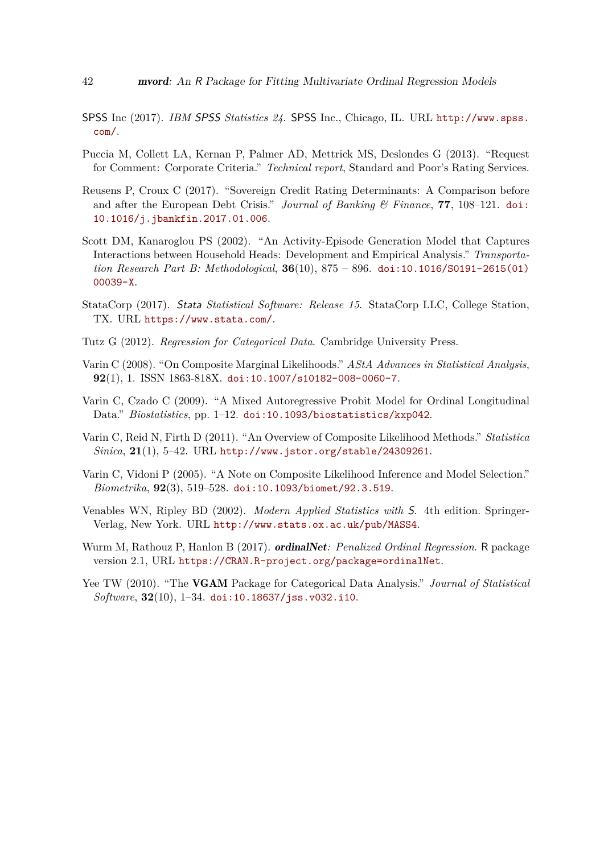- <span id="page-41-5"></span>SPSS Inc (2017). *IBM* SPSS *Statistics 24*. SPSS Inc., Chicago, IL. URL [http://www.spss.](http://www.spss.com/) [com/](http://www.spss.com/).
- <span id="page-41-12"></span>Puccia M, Collett LA, Kernan P, Palmer AD, Mettrick MS, Deslondes G (2013). "Request for Comment: Corporate Criteria." *Technical report*, Standard and Poor's Rating Services.
- <span id="page-41-6"></span>Reusens P, Croux C (2017). "Sovereign Credit Rating Determinants: A Comparison before and after the European Debt Crisis." *Journal of Banking & Finance*, **77**, 108–121. [doi:](http://dx.doi.org/10.1016/j.jbankfin.2017.01.006) [10.1016/j.jbankfin.2017.01.006](http://dx.doi.org/10.1016/j.jbankfin.2017.01.006).
- <span id="page-41-10"></span>Scott DM, Kanaroglou PS (2002). "An Activity-Episode Generation Model that Captures Interactions between Household Heads: Development and Empirical Analysis." *Transportation Research Part B: Methodological*, **36**(10), 875 – 896. [doi:10.1016/S0191-2615\(01\)](http://dx.doi.org/10.1016/S0191-2615(01)00039-X) [00039-X](http://dx.doi.org/10.1016/S0191-2615(01)00039-X).
- <span id="page-41-4"></span>StataCorp (2017). Stata *Statistical Software: Release 15*. StataCorp LLC, College Station, TX. URL <https://www.stata.com/>.
- <span id="page-41-0"></span>Tutz G (2012). *Regression for Categorical Data*. Cambridge University Press.
- <span id="page-41-9"></span>Varin C (2008). "On Composite Marginal Likelihoods." *AStA Advances in Statistical Analysis*, **92**(1), 1. ISSN 1863-818X. [doi:10.1007/s10182-008-0060-7](http://dx.doi.org/10.1007/s10182-008-0060-7).
- <span id="page-41-11"></span>Varin C, Czado C (2009). "A Mixed Autoregressive Probit Model for Ordinal Longitudinal Data." *Biostatistics*, pp. 1–12. [doi:10.1093/biostatistics/kxp042](http://dx.doi.org/10.1093/biostatistics/kxp042).
- <span id="page-41-7"></span>Varin C, Reid N, Firth D (2011). "An Overview of Composite Likelihood Methods." *Statistica Sinica*, **21**(1), 5–42. URL <http://www.jstor.org/stable/24309261>.
- <span id="page-41-8"></span>Varin C, Vidoni P (2005). "A Note on Composite Likelihood Inference and Model Selection." *Biometrika*, **92**(3), 519–528. [doi:10.1093/biomet/92.3.519](http://dx.doi.org/10.1093/biomet/92.3.519).
- <span id="page-41-1"></span>Venables WN, Ripley BD (2002). *Modern Applied Statistics with* S. 4th edition. Springer-Verlag, New York. URL <http://www.stats.ox.ac.uk/pub/MASS4>.
- <span id="page-41-3"></span>Wurm M, Rathouz P, Hanlon B (2017). *ordinalNet: Penalized Ordinal Regression*. R package version 2.1, URL <https://CRAN.R-project.org/package=ordinalNet>.
- <span id="page-41-2"></span>Yee TW (2010). "The VGAM Package for Categorical Data Analysis." *Journal of Statistical Software*, **32**(10), 1–34. [doi:10.18637/jss.v032.i10](http://dx.doi.org/10.18637/jss.v032.i10).